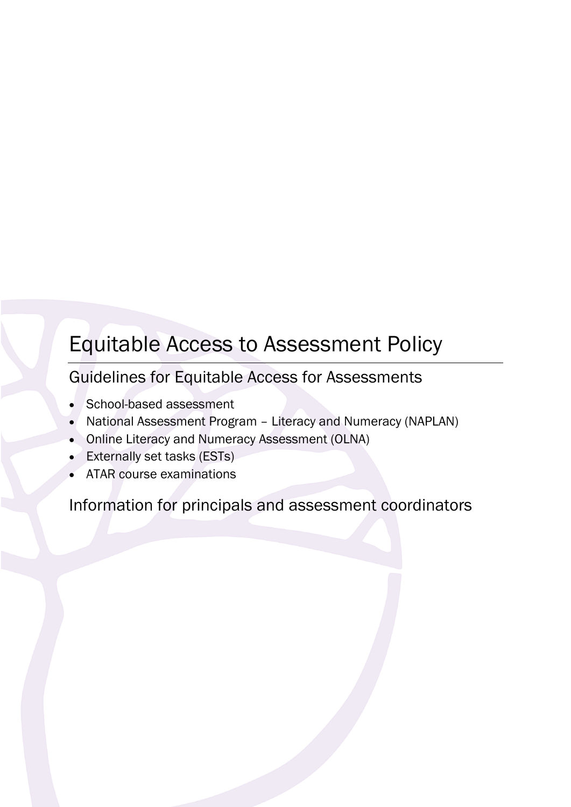# Equitable Access to Assessment Policy

Guidelines for Equitable Access for Assessments

- School-based assessment
- National Assessment Program Literacy and Numeracy (NAPLAN)
- Online Literacy and Numeracy Assessment (OLNA)
- Externally set tasks (ESTs)
- ATAR course examinations

Information for principals and assessment coordinators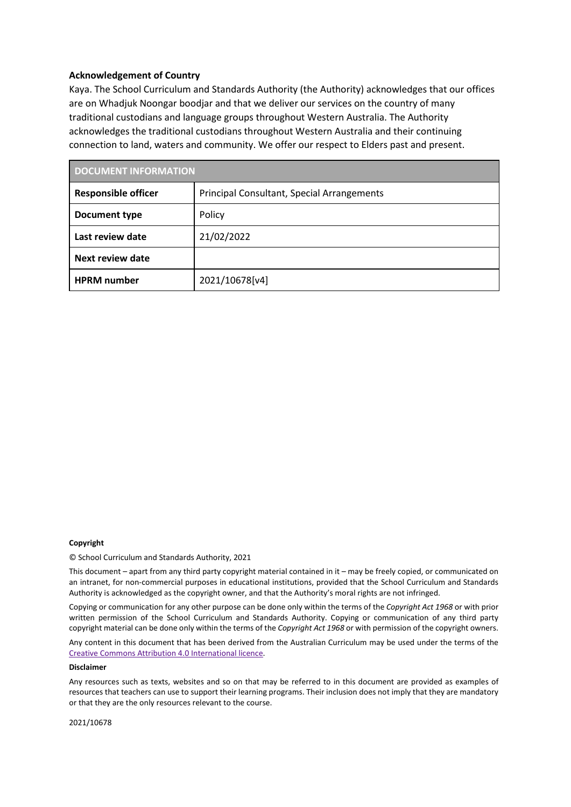#### **Acknowledgement of Country**

Kaya. The School Curriculum and Standards Authority (the Authority) acknowledges that our offices are on Whadjuk Noongar boodjar and that we deliver our services on the country of many traditional custodians and language groups throughout Western Australia. The Authority acknowledges the traditional custodians throughout Western Australia and their continuing connection to land, waters and community. We offer our respect to Elders past and present.

| <b>DOCUMENT INFORMATION</b> |                                            |  |  |
|-----------------------------|--------------------------------------------|--|--|
| <b>Responsible officer</b>  | Principal Consultant, Special Arrangements |  |  |
| Document type               | Policy                                     |  |  |
| Last review date            | 21/02/2022                                 |  |  |
| Next review date            |                                            |  |  |
| <b>HPRM</b> number          | 2021/10678[v4]                             |  |  |

#### **Copyright**

© School Curriculum and Standards Authority, 2021

This document – apart from any third party copyright material contained in it – may be freely copied, or communicated on an intranet, for non-commercial purposes in educational institutions, provided that the School Curriculum and Standards Authority is acknowledged as the copyright owner, and that the Authority's moral rights are not infringed.

Copying or communication for any other purpose can be done only within the terms of the *Copyright Act 1968* or with prior written permission of the School Curriculum and Standards Authority. Copying or communication of any third party copyright material can be done only within the terms of the *Copyright Act 1968* or with permission of the copyright owners.

Any content in this document that has been derived from the Australian Curriculum may be used under the terms of the Creative [Commons Attribution 4.0 International licence.](http://creativecommons.org/licenses/by/4.0/)

#### **Disclaimer**

Any resources such as texts, websites and so on that may be referred to in this document are provided as examples of resources that teachers can use to support their learning programs. Their inclusion does not imply that they are mandatory or that they are the only resources relevant to the course.

2021/10678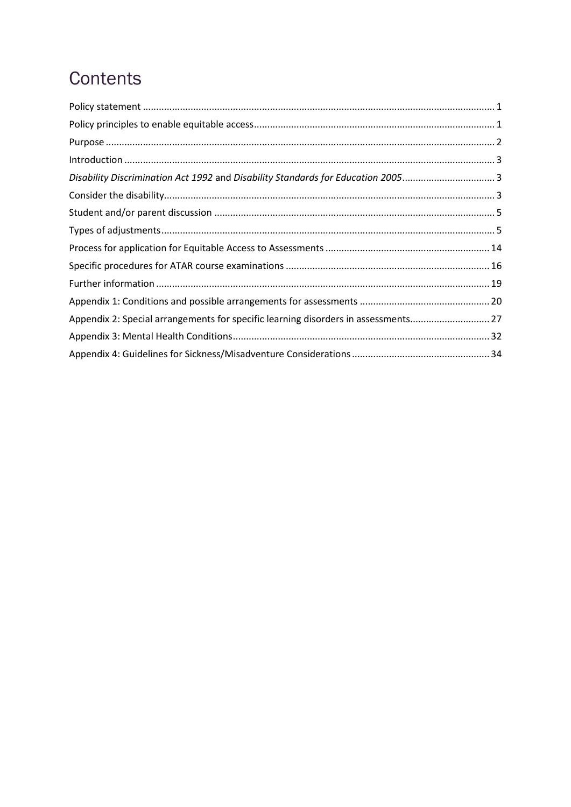# Contents

| Disability Discrimination Act 1992 and Disability Standards for Education 20053    |  |
|------------------------------------------------------------------------------------|--|
|                                                                                    |  |
|                                                                                    |  |
|                                                                                    |  |
|                                                                                    |  |
|                                                                                    |  |
|                                                                                    |  |
|                                                                                    |  |
| Appendix 2: Special arrangements for specific learning disorders in assessments 27 |  |
|                                                                                    |  |
|                                                                                    |  |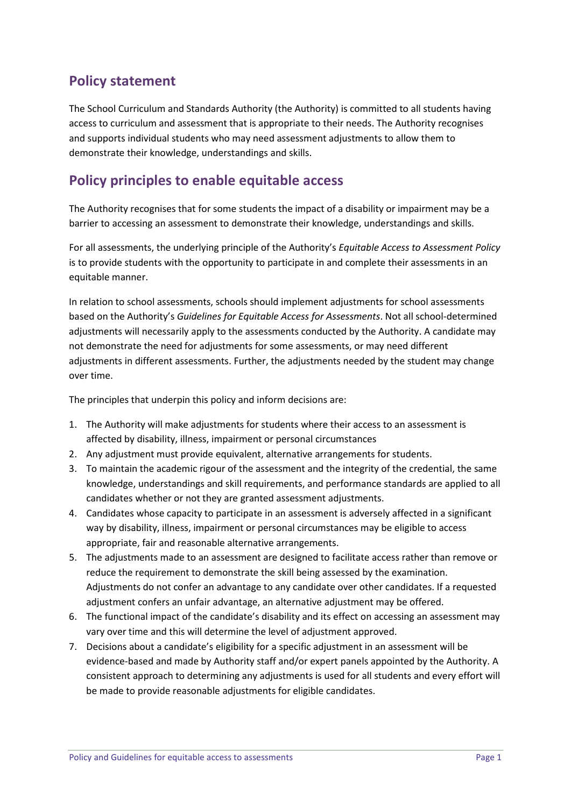# **Policy statement**

The School Curriculum and Standards Authority (the Authority) is committed to all students having access to curriculum and assessment that is appropriate to their needs. The Authority recognises and supports individual students who may need assessment adjustments to allow them to demonstrate their knowledge, understandings and skills.

# **Policy principles to enable equitable access**

The Authority recognises that for some students the impact of a disability or impairment may be a barrier to accessing an assessment to demonstrate their knowledge, understandings and skills.

For all assessments, the underlying principle of the Authority's *Equitable Access to Assessment Policy* is to provide students with the opportunity to participate in and complete their assessments in an equitable manner.

In relation to school assessments, schools should implement adjustments for school assessments based on the Authority's *Guidelines for Equitable Access for Assessments*. Not all school-determined adjustments will necessarily apply to the assessments conducted by the Authority. A candidate may not demonstrate the need for adjustments for some assessments, or may need different adjustments in different assessments. Further, the adjustments needed by the student may change over time.

The principles that underpin this policy and inform decisions are:

- 1. The Authority will make adjustments for students where their access to an assessment is affected by disability, illness, impairment or personal circumstances
- 2. Any adjustment must provide equivalent, alternative arrangements for students.
- 3. To maintain the academic rigour of the assessment and the integrity of the credential, the same knowledge, understandings and skill requirements, and performance standards are applied to all candidates whether or not they are granted assessment adjustments.
- 4. Candidates whose capacity to participate in an assessment is adversely affected in a significant way by disability, illness, impairment or personal circumstances may be eligible to access appropriate, fair and reasonable alternative arrangements.
- 5. The adjustments made to an assessment are designed to facilitate access rather than remove or reduce the requirement to demonstrate the skill being assessed by the examination. Adjustments do not confer an advantage to any candidate over other candidates. If a requested adjustment confers an unfair advantage, an alternative adjustment may be offered.
- 6. The functional impact of the candidate's disability and its effect on accessing an assessment may vary over time and this will determine the level of adjustment approved.
- 7. Decisions about a candidate's eligibility for a specific adjustment in an assessment will be evidence-based and made by Authority staff and/or expert panels appointed by the Authority. A consistent approach to determining any adjustments is used for all students and every effort will be made to provide reasonable adjustments for eligible candidates.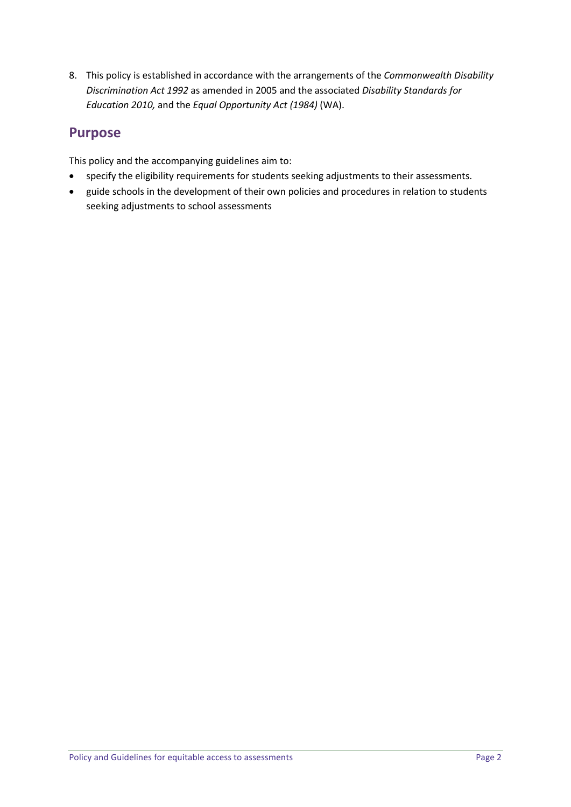8. This policy is established in accordance with the arrangements of the *Commonwealth Disability Discrimination Act 1992* as amended in 2005 and the associated *Disability Standards for Education 2010,* and the *Equal Opportunity Act (1984)* (WA).

# **Purpose**

This policy and the accompanying guidelines aim to:

- specify the eligibility requirements for students seeking adjustments to their assessments.
- guide schools in the development of their own policies and procedures in relation to students seeking adjustments to school assessments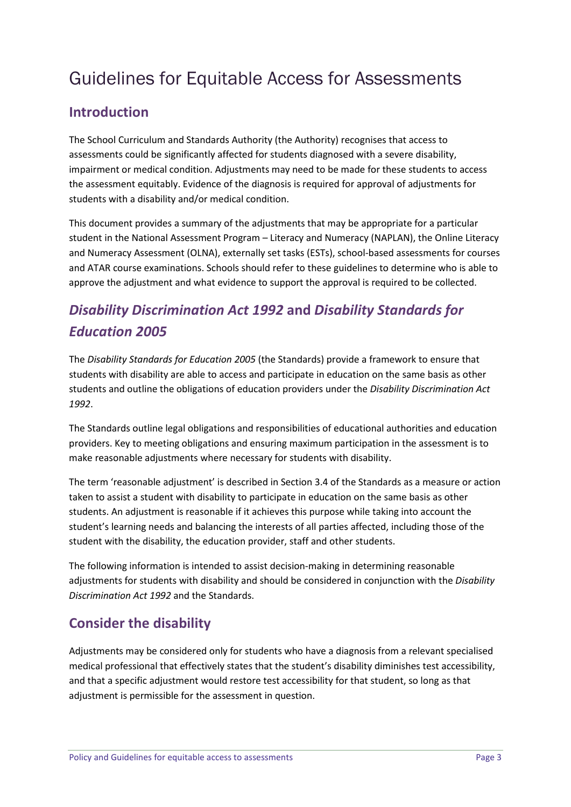# Guidelines for Equitable Access for Assessments

# **Introduction**

The School Curriculum and Standards Authority (the Authority) recognises that access to assessments could be significantly affected for students diagnosed with a severe disability, impairment or medical condition. Adjustments may need to be made for these students to access the assessment equitably. Evidence of the diagnosis is required for approval of adjustments for students with a disability and/or medical condition.

This document provides a summary of the adjustments that may be appropriate for a particular student in the National Assessment Program – Literacy and Numeracy (NAPLAN), the Online Literacy and Numeracy Assessment (OLNA), externally set tasks (ESTs), school-based assessments for courses and ATAR course examinations. Schools should refer to these guidelines to determine who is able to approve the adjustment and what evidence to support the approval is required to be collected.

# *Disability Discrimination Act 1992* **and** *Disability Standards for Education 2005*

The *Disability Standards for Education 2005* (the Standards) provide a framework to ensure that students with disability are able to access and participate in education on the same basis as other students and outline the obligations of education providers under the *Disability Discrimination Act 1992*.

The Standards outline legal obligations and responsibilities of educational authorities and education providers. Key to meeting obligations and ensuring maximum participation in the assessment is to make reasonable adjustments where necessary for students with disability.

The term 'reasonable adjustment' is described in Section 3.4 of the Standards as a measure or action taken to assist a student with disability to participate in education on the same basis as other students. An adjustment is reasonable if it achieves this purpose while taking into account the student's learning needs and balancing the interests of all parties affected, including those of the student with the disability, the education provider, staff and other students.

The following information is intended to assist decision-making in determining reasonable adjustments for students with disability and should be considered in conjunction with the *Disability Discrimination Act 1992* and the Standards.

# **Consider the disability**

Adjustments may be considered only for students who have a diagnosis from a relevant specialised medical professional that effectively states that the student's disability diminishes test accessibility, and that a specific adjustment would restore test accessibility for that student, so long as that adjustment is permissible for the assessment in question.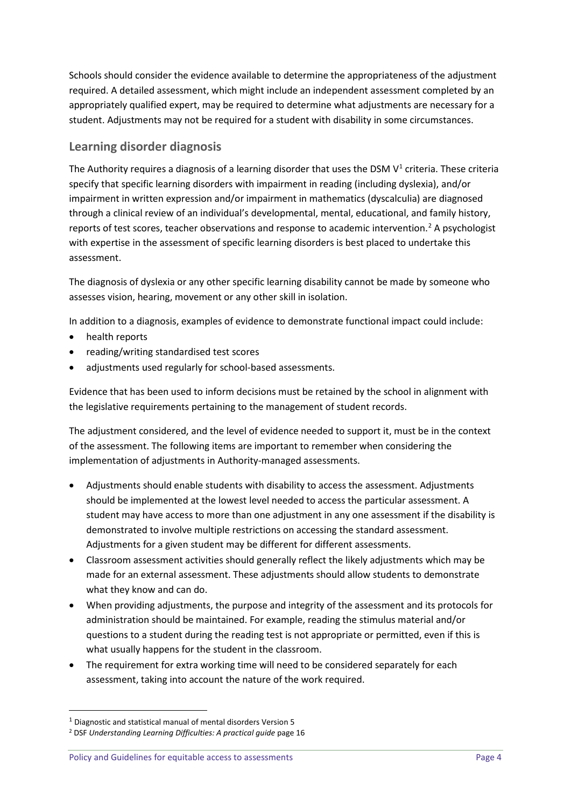Schools should consider the evidence available to determine the appropriateness of the adjustment required. A detailed assessment, which might include an independent assessment completed by an appropriately qualified expert, may be required to determine what adjustments are necessary for a student. Adjustments may not be required for a student with disability in some circumstances.

### **Learning disorder diagnosis**

The Authority requires a diagnosis of a learning disorder that uses the DSM  $V^1$  criteria. These criteria specify that specific learning disorders with impairment in reading (including dyslexia), and/or impairment in written expression and/or impairment in mathematics (dyscalculia) are diagnosed through a clinical review of an individual's developmental, mental, educational, and family history, reports of test scores, teacher observations and response to academic intervention.<sup>[2](#page-6-1)</sup> A psychologist with expertise in the assessment of specific learning disorders is best placed to undertake this assessment.

The diagnosis of dyslexia or any other specific learning disability cannot be made by someone who assesses vision, hearing, movement or any other skill in isolation.

In addition to a diagnosis, examples of evidence to demonstrate functional impact could include:

- health reports
- reading/writing standardised test scores
- adjustments used regularly for school-based assessments.

Evidence that has been used to inform decisions must be retained by the school in alignment with the legislative requirements pertaining to the management of student records.

The adjustment considered, and the level of evidence needed to support it, must be in the context of the assessment. The following items are important to remember when considering the implementation of adjustments in Authority-managed assessments.

- Adjustments should enable students with disability to access the assessment. Adjustments should be implemented at the lowest level needed to access the particular assessment. A student may have access to more than one adjustment in any one assessment if the disability is demonstrated to involve multiple restrictions on accessing the standard assessment. Adjustments for a given student may be different for different assessments.
- Classroom assessment activities should generally reflect the likely adjustments which may be made for an external assessment. These adjustments should allow students to demonstrate what they know and can do.
- When providing adjustments, the purpose and integrity of the assessment and its protocols for administration should be maintained. For example, reading the stimulus material and/or questions to a student during the reading test is not appropriate or permitted, even if this is what usually happens for the student in the classroom.
- The requirement for extra working time will need to be considered separately for each assessment, taking into account the nature of the work required.

Policy and Guidelines for equitable access to assessments **Page 4** Page 4

<span id="page-6-0"></span> <sup>1</sup> Diagnostic and statistical manual of mental disorders Version 5

<span id="page-6-1"></span><sup>2</sup> DSF *Understanding Learning Difficulties: A practical guide* page 16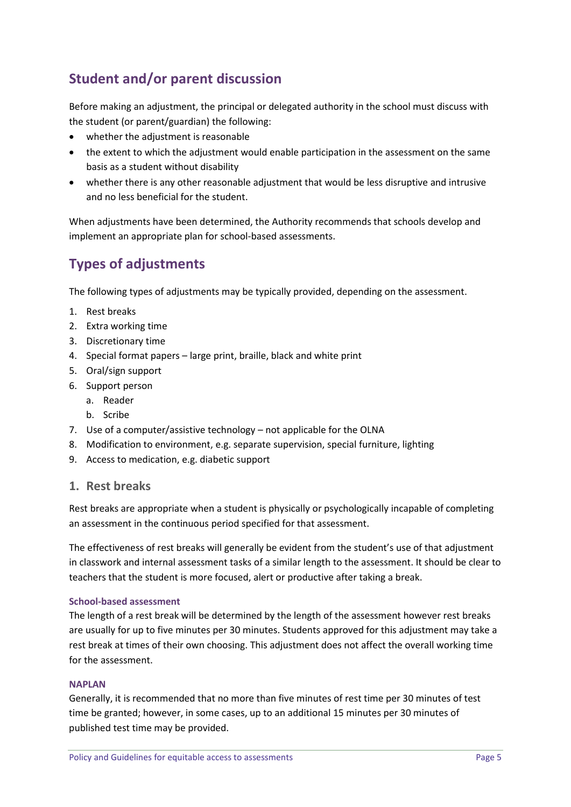# **Student and/or parent discussion**

Before making an adjustment, the principal or delegated authority in the school must discuss with the student (or parent/guardian) the following:

- whether the adjustment is reasonable
- the extent to which the adjustment would enable participation in the assessment on the same basis as a student without disability
- whether there is any other reasonable adjustment that would be less disruptive and intrusive and no less beneficial for the student.

When adjustments have been determined, the Authority recommends that schools develop and implement an appropriate plan for school-based assessments.

# **Types of adjustments**

The following types of adjustments may be typically provided, depending on the assessment.

- 1. Rest breaks
- 2. Extra working time
- 3. Discretionary time
- 4. Special format papers large print, braille, black and white print
- 5. Oral/sign support
- 6. Support person
	- a. Reader
	- b. Scribe
- 7. Use of a computer/assistive technology not applicable for the OLNA
- 8. Modification to environment, e.g. separate supervision, special furniture, lighting
- 9. Access to medication, e.g. diabetic support

#### **1. Rest breaks**

Rest breaks are appropriate when a student is physically or psychologically incapable of completing an assessment in the continuous period specified for that assessment.

The effectiveness of rest breaks will generally be evident from the student's use of that adjustment in classwork and internal assessment tasks of a similar length to the assessment. It should be clear to teachers that the student is more focused, alert or productive after taking a break.

#### **School-based assessment**

The length of a rest break will be determined by the length of the assessment however rest breaks are usually for up to five minutes per 30 minutes. Students approved for this adjustment may take a rest break at times of their own choosing. This adjustment does not affect the overall working time for the assessment.

#### **NAPLAN**

Generally, it is recommended that no more than five minutes of rest time per 30 minutes of test time be granted; however, in some cases, up to an additional 15 minutes per 30 minutes of published test time may be provided.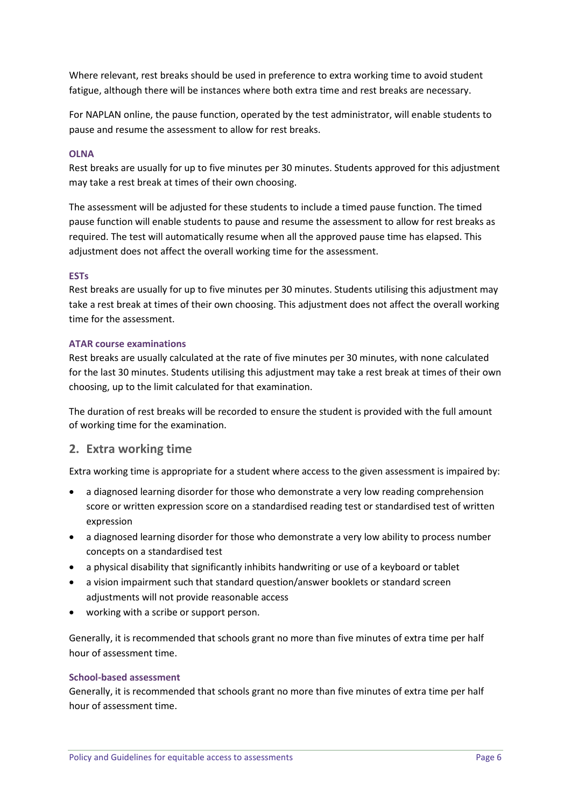Where relevant, rest breaks should be used in preference to extra working time to avoid student fatigue, although there will be instances where both extra time and rest breaks are necessary.

For NAPLAN online, the pause function, operated by the test administrator, will enable students to pause and resume the assessment to allow for rest breaks.

#### **OLNA**

Rest breaks are usually for up to five minutes per 30 minutes. Students approved for this adjustment may take a rest break at times of their own choosing.

The assessment will be adjusted for these students to include a timed pause function. The timed pause function will enable students to pause and resume the assessment to allow for rest breaks as required. The test will automatically resume when all the approved pause time has elapsed. This adjustment does not affect the overall working time for the assessment.

#### **ESTs**

Rest breaks are usually for up to five minutes per 30 minutes. Students utilising this adjustment may take a rest break at times of their own choosing. This adjustment does not affect the overall working time for the assessment.

#### **ATAR course examinations**

Rest breaks are usually calculated at the rate of five minutes per 30 minutes, with none calculated for the last 30 minutes. Students utilising this adjustment may take a rest break at times of their own choosing, up to the limit calculated for that examination.

The duration of rest breaks will be recorded to ensure the student is provided with the full amount of working time for the examination.

#### **2. Extra working time**

Extra working time is appropriate for a student where access to the given assessment is impaired by:

- a diagnosed learning disorder for those who demonstrate a very low reading comprehension score or written expression score on a standardised reading test or standardised test of written expression
- a diagnosed learning disorder for those who demonstrate a very low ability to process number concepts on a standardised test
- a physical disability that significantly inhibits handwriting or use of a keyboard or tablet
- a vision impairment such that standard question/answer booklets or standard screen adjustments will not provide reasonable access
- working with a scribe or support person.

Generally, it is recommended that schools grant no more than five minutes of extra time per half hour of assessment time.

#### **School-based assessment**

Generally, it is recommended that schools grant no more than five minutes of extra time per half hour of assessment time.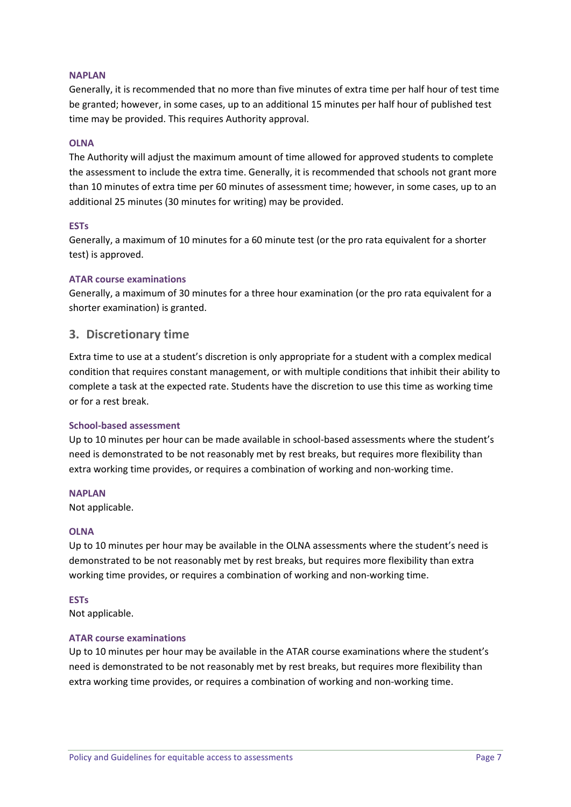#### **NAPLAN**

Generally, it is recommended that no more than five minutes of extra time per half hour of test time be granted; however, in some cases, up to an additional 15 minutes per half hour of published test time may be provided. This requires Authority approval.

#### **OLNA**

The Authority will adjust the maximum amount of time allowed for approved students to complete the assessment to include the extra time. Generally, it is recommended that schools not grant more than 10 minutes of extra time per 60 minutes of assessment time; however, in some cases, up to an additional 25 minutes (30 minutes for writing) may be provided.

#### **ESTs**

Generally, a maximum of 10 minutes for a 60 minute test (or the pro rata equivalent for a shorter test) is approved.

#### **ATAR course examinations**

Generally, a maximum of 30 minutes for a three hour examination (or the pro rata equivalent for a shorter examination) is granted.

#### **3. Discretionary time**

Extra time to use at a student's discretion is only appropriate for a student with a complex medical condition that requires constant management, or with multiple conditions that inhibit their ability to complete a task at the expected rate. Students have the discretion to use this time as working time or for a rest break.

#### **School-based assessment**

Up to 10 minutes per hour can be made available in school-based assessments where the student's need is demonstrated to be not reasonably met by rest breaks, but requires more flexibility than extra working time provides, or requires a combination of working and non-working time.

#### **NAPLAN**

Not applicable.

#### **OLNA**

Up to 10 minutes per hour may be available in the OLNA assessments where the student's need is demonstrated to be not reasonably met by rest breaks, but requires more flexibility than extra working time provides, or requires a combination of working and non-working time.

#### **ESTs**

Not applicable.

#### **ATAR course examinations**

Up to 10 minutes per hour may be available in the ATAR course examinations where the student's need is demonstrated to be not reasonably met by rest breaks, but requires more flexibility than extra working time provides, or requires a combination of working and non-working time.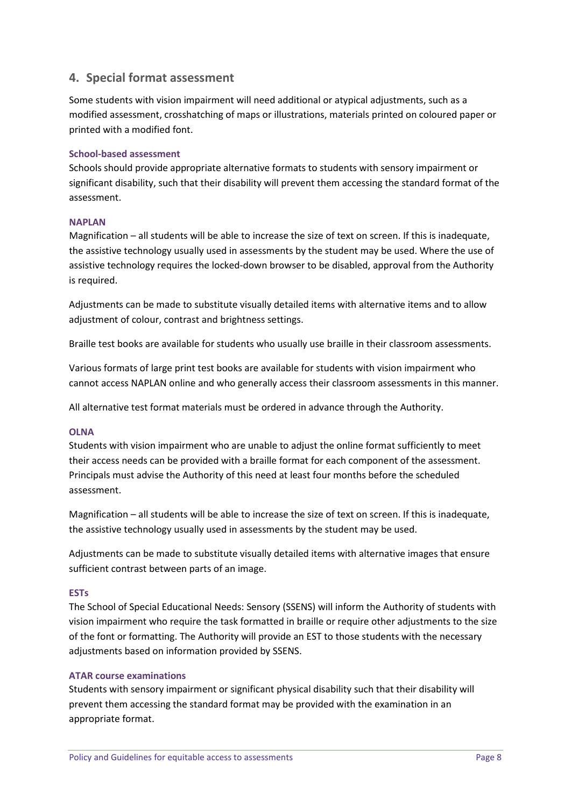### **4. Special format assessment**

Some students with vision impairment will need additional or atypical adjustments, such as a modified assessment, crosshatching of maps or illustrations, materials printed on coloured paper or printed with a modified font.

#### **School-based assessment**

Schools should provide appropriate alternative formats to students with sensory impairment or significant disability, such that their disability will prevent them accessing the standard format of the assessment.

#### **NAPLAN**

Magnification – all students will be able to increase the size of text on screen. If this is inadequate, the assistive technology usually used in assessments by the student may be used. Where the use of assistive technology requires the locked-down browser to be disabled, approval from the Authority is required.

Adjustments can be made to substitute visually detailed items with alternative items and to allow adjustment of colour, contrast and brightness settings.

Braille test books are available for students who usually use braille in their classroom assessments.

Various formats of large print test books are available for students with vision impairment who cannot access NAPLAN online and who generally access their classroom assessments in this manner.

All alternative test format materials must be ordered in advance through the Authority.

#### **OLNA**

Students with vision impairment who are unable to adjust the online format sufficiently to meet their access needs can be provided with a braille format for each component of the assessment. Principals must advise the Authority of this need at least four months before the scheduled assessment.

Magnification – all students will be able to increase the size of text on screen. If this is inadequate, the assistive technology usually used in assessments by the student may be used.

Adjustments can be made to substitute visually detailed items with alternative images that ensure sufficient contrast between parts of an image.

#### **ESTs**

The School of Special Educational Needs: Sensory (SSENS) will inform the Authority of students with vision impairment who require the task formatted in braille or require other adjustments to the size of the font or formatting. The Authority will provide an EST to those students with the necessary adjustments based on information provided by SSENS.

#### **ATAR course examinations**

Students with sensory impairment or significant physical disability such that their disability will prevent them accessing the standard format may be provided with the examination in an appropriate format.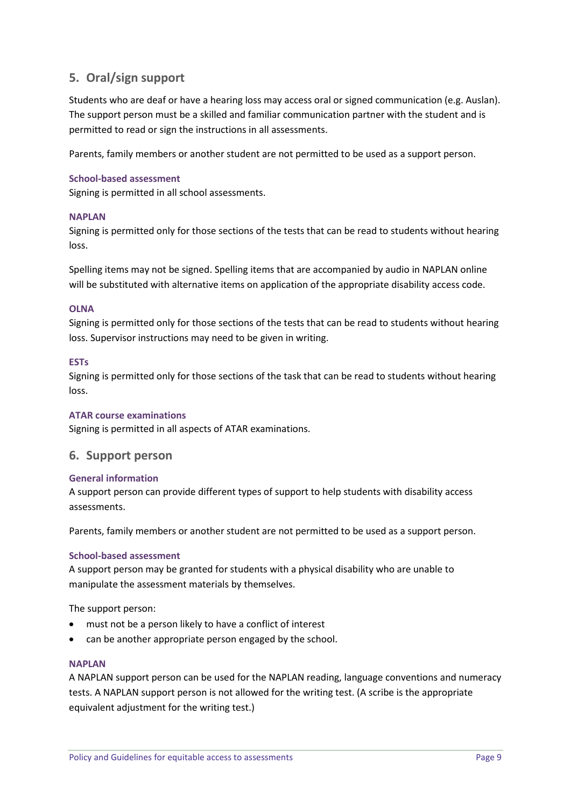# **5. Oral/sign support**

Students who are deaf or have a hearing loss may access oral or signed communication (e.g. Auslan). The support person must be a skilled and familiar communication partner with the student and is permitted to read or sign the instructions in all assessments.

Parents, family members or another student are not permitted to be used as a support person.

#### **School-based assessment**

Signing is permitted in all school assessments.

#### **NAPLAN**

Signing is permitted only for those sections of the tests that can be read to students without hearing loss.

Spelling items may not be signed. Spelling items that are accompanied by audio in NAPLAN online will be substituted with alternative items on application of the appropriate disability access code.

#### **OLNA**

Signing is permitted only for those sections of the tests that can be read to students without hearing loss. Supervisor instructions may need to be given in writing.

#### **ESTs**

Signing is permitted only for those sections of the task that can be read to students without hearing loss.

#### **ATAR course examinations**

Signing is permitted in all aspects of ATAR examinations.

#### **6. Support person**

#### **General information**

A support person can provide different types of support to help students with disability access assessments.

Parents, family members or another student are not permitted to be used as a support person.

#### **School-based assessment**

A support person may be granted for students with a physical disability who are unable to manipulate the assessment materials by themselves.

The support person:

- must not be a person likely to have a conflict of interest
- can be another appropriate person engaged by the school.

#### **NAPLAN**

A NAPLAN support person can be used for the NAPLAN reading, language conventions and numeracy tests. A NAPLAN support person is not allowed for the writing test. (A scribe is the appropriate equivalent adjustment for the writing test.)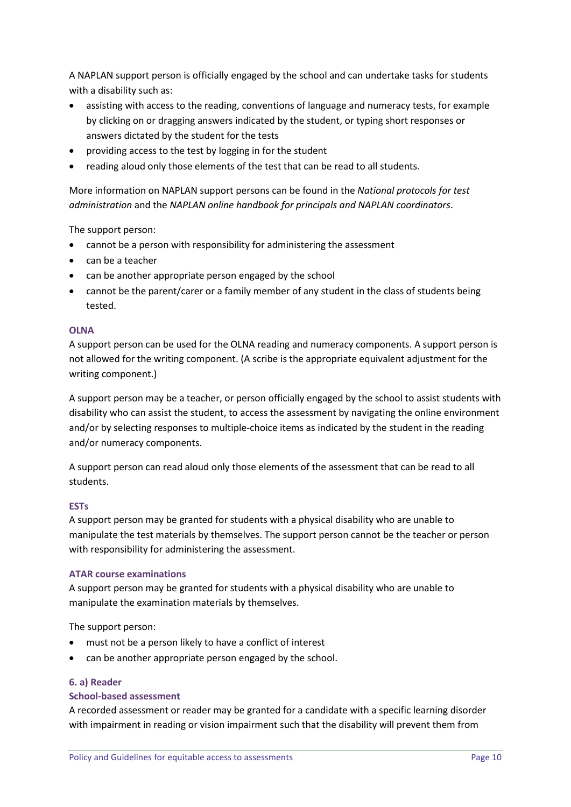A NAPLAN support person is officially engaged by the school and can undertake tasks for students with a disability such as:

- assisting with access to the reading, conventions of language and numeracy tests, for example by clicking on or dragging answers indicated by the student, or typing short responses or answers dictated by the student for the tests
- providing access to the test by logging in for the student
- reading aloud only those elements of the test that can be read to all students.

More information on NAPLAN support persons can be found in the *National protocols for test administration* and the *NAPLAN online handbook for principals and NAPLAN coordinators*.

The support person:

- cannot be a person with responsibility for administering the assessment
- can be a teacher
- can be another appropriate person engaged by the school
- cannot be the parent/carer or a family member of any student in the class of students being tested.

#### **OLNA**

A support person can be used for the OLNA reading and numeracy components. A support person is not allowed for the writing component. (A scribe is the appropriate equivalent adjustment for the writing component.)

A support person may be a teacher, or person officially engaged by the school to assist students with disability who can assist the student, to access the assessment by navigating the online environment and/or by selecting responses to multiple-choice items as indicated by the student in the reading and/or numeracy components.

A support person can read aloud only those elements of the assessment that can be read to all students.

#### **ESTs**

A support person may be granted for students with a physical disability who are unable to manipulate the test materials by themselves. The support person cannot be the teacher or person with responsibility for administering the assessment.

#### **ATAR course examinations**

A support person may be granted for students with a physical disability who are unable to manipulate the examination materials by themselves.

The support person:

- must not be a person likely to have a conflict of interest
- can be another appropriate person engaged by the school.

#### **6. a) Reader**

#### **School-based assessment**

A recorded assessment or reader may be granted for a candidate with a specific learning disorder with impairment in reading or vision impairment such that the disability will prevent them from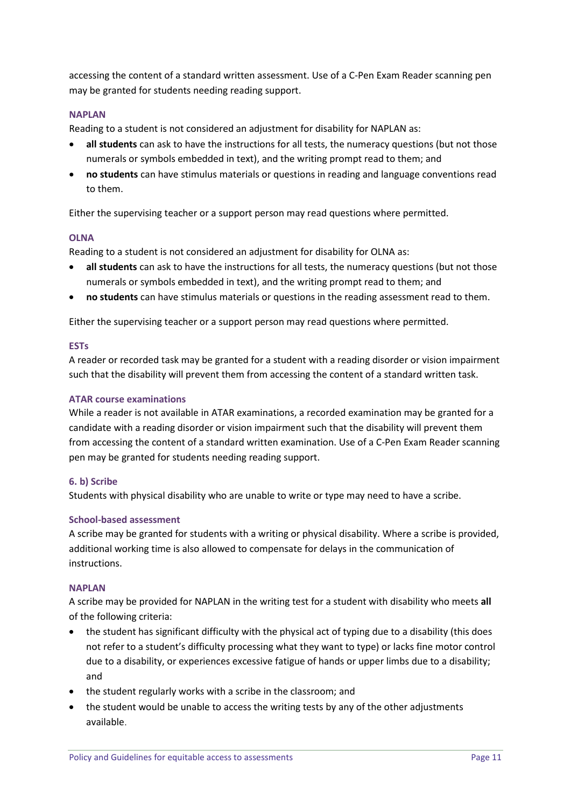accessing the content of a standard written assessment. Use of a C-Pen Exam Reader scanning pen may be granted for students needing reading support.

#### **NAPLAN**

Reading to a student is not considered an adjustment for disability for NAPLAN as:

- **all students** can ask to have the instructions for all tests, the numeracy questions (but not those numerals or symbols embedded in text), and the writing prompt read to them; and
- **no students** can have stimulus materials or questions in reading and language conventions read to them.

Either the supervising teacher or a support person may read questions where permitted.

#### **OLNA**

Reading to a student is not considered an adjustment for disability for OLNA as:

- **all students** can ask to have the instructions for all tests, the numeracy questions (but not those numerals or symbols embedded in text), and the writing prompt read to them; and
- **no students** can have stimulus materials or questions in the reading assessment read to them.

Either the supervising teacher or a support person may read questions where permitted.

#### **ESTs**

A reader or recorded task may be granted for a student with a reading disorder or vision impairment such that the disability will prevent them from accessing the content of a standard written task.

#### **ATAR course examinations**

While a reader is not available in ATAR examinations, a recorded examination may be granted for a candidate with a reading disorder or vision impairment such that the disability will prevent them from accessing the content of a standard written examination. Use of a C-Pen Exam Reader scanning pen may be granted for students needing reading support.

#### **6. b) Scribe**

Students with physical disability who are unable to write or type may need to have a scribe.

#### **School-based assessment**

A scribe may be granted for students with a writing or physical disability. Where a scribe is provided, additional working time is also allowed to compensate for delays in the communication of instructions.

#### **NAPLAN**

A scribe may be provided for NAPLAN in the writing test for a student with disability who meets **all** of the following criteria:

- the student has significant difficulty with the physical act of typing due to a disability (this does not refer to a student's difficulty processing what they want to type) or lacks fine motor control due to a disability, or experiences excessive fatigue of hands or upper limbs due to a disability; and
- the student regularly works with a scribe in the classroom; and
- the student would be unable to access the writing tests by any of the other adjustments available.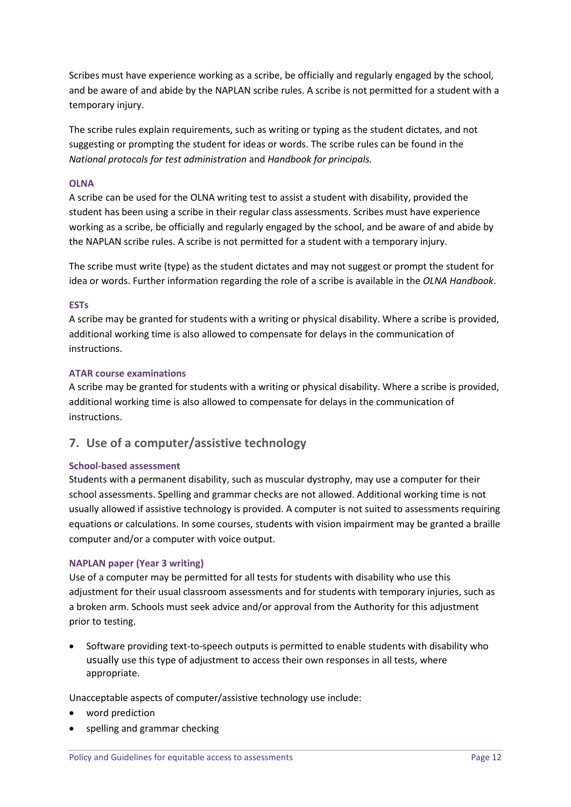Scribes must have experience working as a scribe, be officially and regularly engaged by the school, and be aware of and abide by the NAPLAN scribe rules. A scribe is not permitted for a student with a temporary injury.

The scribe rules explain requirements, such as writing or typing as the student dictates, and not suggesting or prompting the student for ideas or words. The scribe rules can be found in the *National protocols for test administration* and *Handbook for principals.*

#### **OLNA**

A scribe can be used for the OLNA writing test to assist a student with disability, provided the student has been using a scribe in their regular class assessments. Scribes must have experience working as a scribe, be officially and regularly engaged by the school, and be aware of and abide by the NAPLAN scribe rules. A scribe is not permitted for a student with a temporary injury.

The scribe must write (type) as the student dictates and may not suggest or prompt the student for idea or words. Further information regarding the role of a scribe is available in the *OLNA Handbook*.

#### **ESTs**

A scribe may be granted for students with a writing or physical disability. Where a scribe is provided, additional working time is also allowed to compensate for delays in the communication of instructions.

#### **ATAR course examinations**

A scribe may be granted for students with a writing or physical disability. Where a scribe is provided, additional working time is also allowed to compensate for delays in the communication of instructions.

# **7. Use of a computer/assistive technology**

#### **School-based assessment**

Students with a permanent disability, such as muscular dystrophy, may use a computer for their school assessments. Spelling and grammar checks are not allowed. Additional working time is not usually allowed if assistive technology is provided. A computer is not suited to assessments requiring equations or calculations. In some courses, students with vision impairment may be granted a braille computer and/or a computer with voice output.

#### **NAPLAN paper (Year 3 writing)**

Use of a computer may be permitted for all tests for students with disability who use this adjustment for their usual classroom assessments and for students with temporary injuries, such as a broken arm. Schools must seek advice and/or approval from the Authority for this adjustment prior to testing.

• Software providing text-to-speech outputs is permitted to enable students with disability who usually use this type of adjustment to access their own responses in all tests, where appropriate.

Unacceptable aspects of computer/assistive technology use include:

- word prediction
- spelling and grammar checking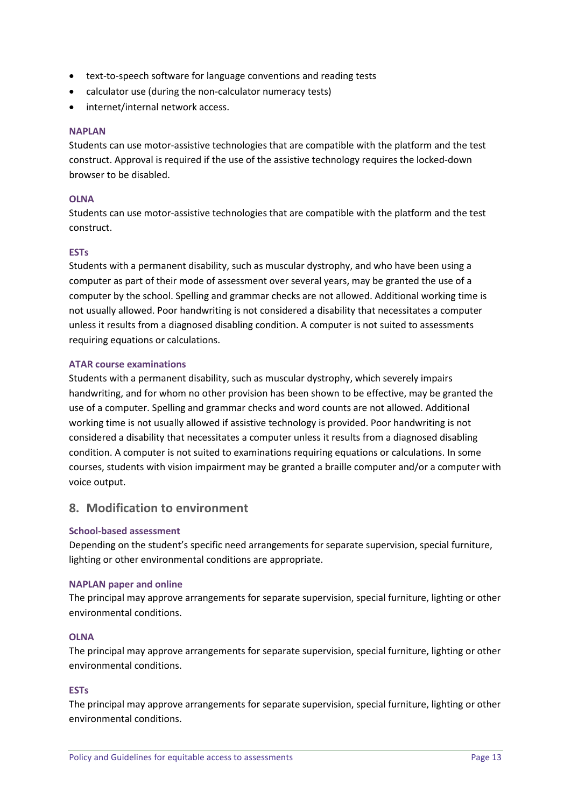- text-to-speech software for language conventions and reading tests
- calculator use (during the non-calculator numeracy tests)
- internet/internal network access.

#### **NAPLAN**

Students can use motor-assistive technologies that are compatible with the platform and the test construct. Approval is required if the use of the assistive technology requires the locked-down browser to be disabled.

#### **OLNA**

Students can use motor-assistive technologies that are compatible with the platform and the test construct.

#### **ESTs**

Students with a permanent disability, such as muscular dystrophy, and who have been using a computer as part of their mode of assessment over several years, may be granted the use of a computer by the school. Spelling and grammar checks are not allowed. Additional working time is not usually allowed. Poor handwriting is not considered a disability that necessitates a computer unless it results from a diagnosed disabling condition. A computer is not suited to assessments requiring equations or calculations.

#### **ATAR course examinations**

Students with a permanent disability, such as muscular dystrophy, which severely impairs handwriting, and for whom no other provision has been shown to be effective, may be granted the use of a computer. Spelling and grammar checks and word counts are not allowed. Additional working time is not usually allowed if assistive technology is provided. Poor handwriting is not considered a disability that necessitates a computer unless it results from a diagnosed disabling condition. A computer is not suited to examinations requiring equations or calculations. In some courses, students with vision impairment may be granted a braille computer and/or a computer with voice output.

### **8. Modification to environment**

#### **School-based assessment**

Depending on the student's specific need arrangements for separate supervision, special furniture, lighting or other environmental conditions are appropriate.

#### **NAPLAN paper and online**

The principal may approve arrangements for separate supervision, special furniture, lighting or other environmental conditions.

#### **OLNA**

The principal may approve arrangements for separate supervision, special furniture, lighting or other environmental conditions.

#### **ESTs**

The principal may approve arrangements for separate supervision, special furniture, lighting or other environmental conditions.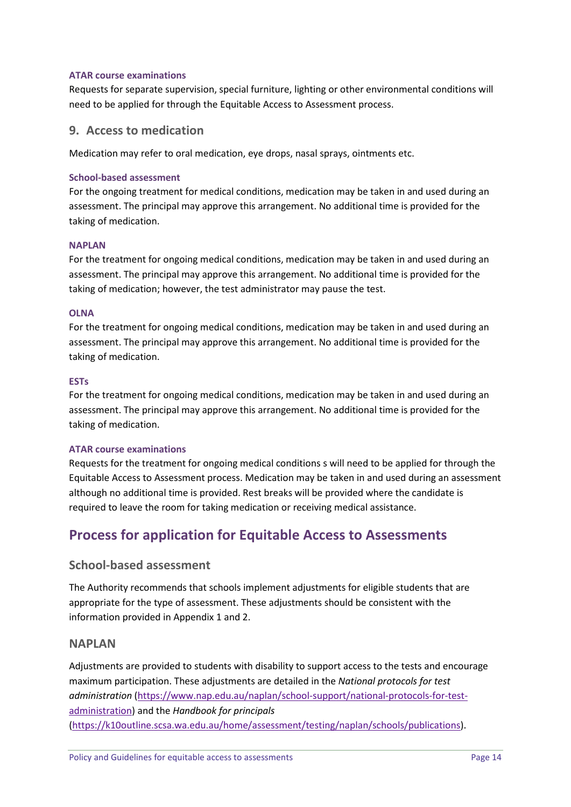#### **ATAR course examinations**

Requests for separate supervision, special furniture, lighting or other environmental conditions will need to be applied for through the Equitable Access to Assessment process.

### **9. Access to medication**

Medication may refer to oral medication, eye drops, nasal sprays, ointments etc.

#### **School-based assessment**

For the ongoing treatment for medical conditions, medication may be taken in and used during an assessment. The principal may approve this arrangement. No additional time is provided for the taking of medication.

#### **NAPLAN**

For the treatment for ongoing medical conditions, medication may be taken in and used during an assessment. The principal may approve this arrangement. No additional time is provided for the taking of medication; however, the test administrator may pause the test.

#### **OLNA**

For the treatment for ongoing medical conditions, medication may be taken in and used during an assessment. The principal may approve this arrangement. No additional time is provided for the taking of medication.

#### **ESTs**

For the treatment for ongoing medical conditions, medication may be taken in and used during an assessment. The principal may approve this arrangement. No additional time is provided for the taking of medication.

#### **ATAR course examinations**

Requests for the treatment for ongoing medical conditions s will need to be applied for through the Equitable Access to Assessment process. Medication may be taken in and used during an assessment although no additional time is provided. Rest breaks will be provided where the candidate is required to leave the room for taking medication or receiving medical assistance.

# **Process for application for Equitable Access to Assessments**

### **School-based assessment**

The Authority recommends that schools implement adjustments for eligible students that are appropriate for the type of assessment. These adjustments should be consistent with the information provided in Appendix 1 and 2.

#### **NAPLAN**

Adjustments are provided to students with disability to support access to the tests and encourage maximum participation. These adjustments are detailed in the *National protocols for test administration* [\(https://www.nap.edu.au/naplan/school-support/national-protocols-for-test](https://www.nap.edu.au/naplan/school-support/national-protocols-for-test-administration)[administration\)](https://www.nap.edu.au/naplan/school-support/national-protocols-for-test-administration) and the *Handbook for principals* [\(https://k10outline.scsa.wa.edu.au/home/assessment/testing/naplan/schools/publications\)](https://k10outline.scsa.wa.edu.au/home/assessment/testing/naplan/schools/publications).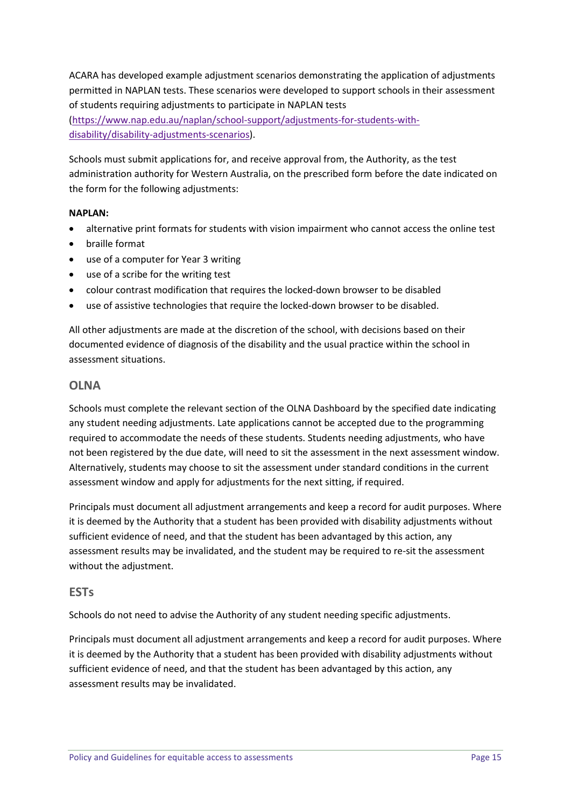ACARA has developed example adjustment scenarios demonstrating the application of adjustments permitted in NAPLAN tests. These scenarios were developed to support schools in their assessment of students requiring adjustments to participate in NAPLAN tests [\(https://www.nap.edu.au/naplan/school-support/adjustments-for-students-with](https://www.nap.edu.au/naplan/school-support/adjustments-for-students-with-disability/disability-adjustments-scenarios)[disability/disability-adjustments-scenarios\)](https://www.nap.edu.au/naplan/school-support/adjustments-for-students-with-disability/disability-adjustments-scenarios).

Schools must submit applications for, and receive approval from, the Authority, as the test administration authority for Western Australia, on the prescribed form before the date indicated on the form for the following adjustments:

#### **NAPLAN:**

- alternative print formats for students with vision impairment who cannot access the online test
- braille format
- use of a computer for Year 3 writing
- use of a scribe for the writing test
- colour contrast modification that requires the locked-down browser to be disabled
- use of assistive technologies that require the locked-down browser to be disabled.

All other adjustments are made at the discretion of the school, with decisions based on their documented evidence of diagnosis of the disability and the usual practice within the school in assessment situations.

### **OLNA**

Schools must complete the relevant section of the OLNA Dashboard by the specified date indicating any student needing adjustments. Late applications cannot be accepted due to the programming required to accommodate the needs of these students. Students needing adjustments, who have not been registered by the due date, will need to sit the assessment in the next assessment window. Alternatively, students may choose to sit the assessment under standard conditions in the current assessment window and apply for adjustments for the next sitting, if required.

Principals must document all adjustment arrangements and keep a record for audit purposes. Where it is deemed by the Authority that a student has been provided with disability adjustments without sufficient evidence of need, and that the student has been advantaged by this action, any assessment results may be invalidated, and the student may be required to re-sit the assessment without the adjustment.

### **ESTs**

Schools do not need to advise the Authority of any student needing specific adjustments.

Principals must document all adjustment arrangements and keep a record for audit purposes. Where it is deemed by the Authority that a student has been provided with disability adjustments without sufficient evidence of need, and that the student has been advantaged by this action, any assessment results may be invalidated.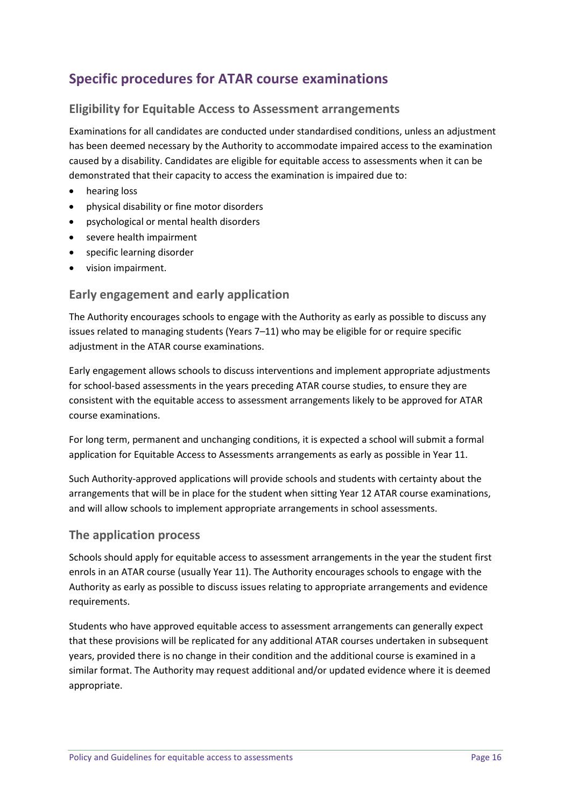# **Specific procedures for ATAR course examinations**

# **Eligibility for Equitable Access to Assessment arrangements**

Examinations for all candidates are conducted under standardised conditions, unless an adjustment has been deemed necessary by the Authority to accommodate impaired access to the examination caused by a disability. Candidates are eligible for equitable access to assessments when it can be demonstrated that their capacity to access the examination is impaired due to:

- hearing loss
- physical disability or fine motor disorders
- psychological or mental health disorders
- severe health impairment
- specific learning disorder
- vision impairment.

### **Early engagement and early application**

The Authority encourages schools to engage with the Authority as early as possible to discuss any issues related to managing students (Years 7–11) who may be eligible for or require specific adjustment in the ATAR course examinations.

Early engagement allows schools to discuss interventions and implement appropriate adjustments for school-based assessments in the years preceding ATAR course studies, to ensure they are consistent with the equitable access to assessment arrangements likely to be approved for ATAR course examinations.

For long term, permanent and unchanging conditions, it is expected a school will submit a formal application for Equitable Access to Assessments arrangements as early as possible in Year 11.

Such Authority-approved applications will provide schools and students with certainty about the arrangements that will be in place for the student when sitting Year 12 ATAR course examinations, and will allow schools to implement appropriate arrangements in school assessments.

### **The application process**

Schools should apply for equitable access to assessment arrangements in the year the student first enrols in an ATAR course (usually Year 11). The Authority encourages schools to engage with the Authority as early as possible to discuss issues relating to appropriate arrangements and evidence requirements.

Students who have approved equitable access to assessment arrangements can generally expect that these provisions will be replicated for any additional ATAR courses undertaken in subsequent years, provided there is no change in their condition and the additional course is examined in a similar format. The Authority may request additional and/or updated evidence where it is deemed appropriate.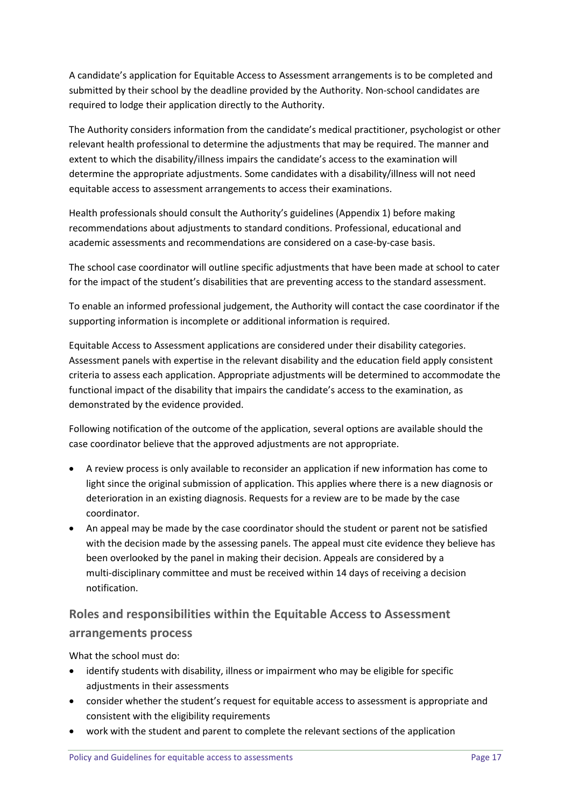A candidate's application for Equitable Access to Assessment arrangements is to be completed and submitted by their school by the deadline provided by the Authority. Non-school candidates are required to lodge their application directly to the Authority.

The Authority considers information from the candidate's medical practitioner, psychologist or other relevant health professional to determine the adjustments that may be required. The manner and extent to which the disability/illness impairs the candidate's access to the examination will determine the appropriate adjustments. Some candidates with a disability/illness will not need equitable access to assessment arrangements to access their examinations.

Health professionals should consult the Authority's guidelines (Appendix 1) before making recommendations about adjustments to standard conditions. Professional, educational and academic assessments and recommendations are considered on a case-by-case basis.

The school case coordinator will outline specific adjustments that have been made at school to cater for the impact of the student's disabilities that are preventing access to the standard assessment.

To enable an informed professional judgement, the Authority will contact the case coordinator if the supporting information is incomplete or additional information is required.

Equitable Access to Assessment applications are considered under their disability categories. Assessment panels with expertise in the relevant disability and the education field apply consistent criteria to assess each application. Appropriate adjustments will be determined to accommodate the functional impact of the disability that impairs the candidate's access to the examination, as demonstrated by the evidence provided.

Following notification of the outcome of the application, several options are available should the case coordinator believe that the approved adjustments are not appropriate.

- A review process is only available to reconsider an application if new information has come to light since the original submission of application. This applies where there is a new diagnosis or deterioration in an existing diagnosis. Requests for a review are to be made by the case coordinator.
- An appeal may be made by the case coordinator should the student or parent not be satisfied with the decision made by the assessing panels. The appeal must cite evidence they believe has been overlooked by the panel in making their decision. Appeals are considered by a multi-disciplinary committee and must be received within 14 days of receiving a decision notification.

# **Roles and responsibilities within the Equitable Access to Assessment arrangements process**

What the school must do:

- identify students with disability, illness or impairment who may be eligible for specific adjustments in their assessments
- consider whether the student's request for equitable access to assessment is appropriate and consistent with the eligibility requirements
- work with the student and parent to complete the relevant sections of the application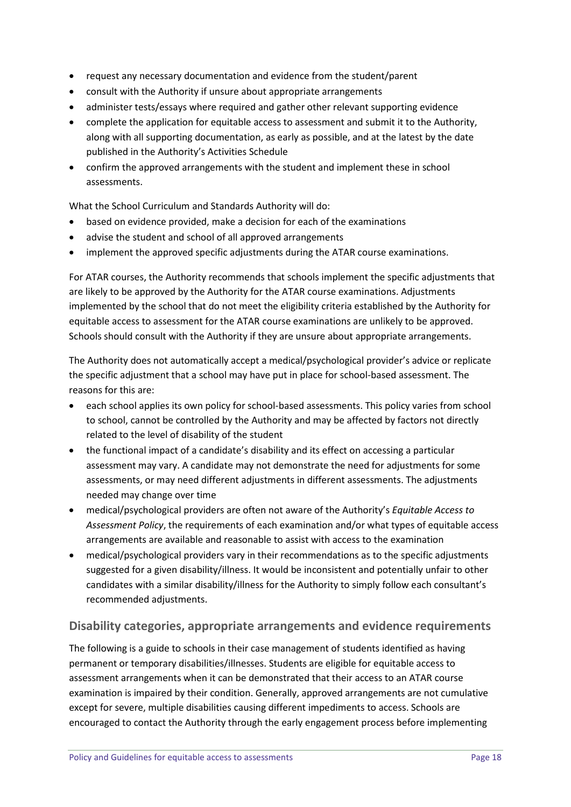- request any necessary documentation and evidence from the student/parent
- consult with the Authority if unsure about appropriate arrangements
- administer tests/essays where required and gather other relevant supporting evidence
- complete the application for equitable access to assessment and submit it to the Authority, along with all supporting documentation, as early as possible, and at the latest by the date published in the Authority's Activities Schedule
- confirm the approved arrangements with the student and implement these in school assessments.

What the School Curriculum and Standards Authority will do:

- based on evidence provided, make a decision for each of the examinations
- advise the student and school of all approved arrangements
- implement the approved specific adjustments during the ATAR course examinations.

For ATAR courses, the Authority recommends that schools implement the specific adjustments that are likely to be approved by the Authority for the ATAR course examinations. Adjustments implemented by the school that do not meet the eligibility criteria established by the Authority for equitable access to assessment for the ATAR course examinations are unlikely to be approved. Schools should consult with the Authority if they are unsure about appropriate arrangements.

The Authority does not automatically accept a medical/psychological provider's advice or replicate the specific adjustment that a school may have put in place for school-based assessment. The reasons for this are:

- each school applies its own policy for school-based assessments. This policy varies from school to school, cannot be controlled by the Authority and may be affected by factors not directly related to the level of disability of the student
- the functional impact of a candidate's disability and its effect on accessing a particular assessment may vary. A candidate may not demonstrate the need for adjustments for some assessments, or may need different adjustments in different assessments. The adjustments needed may change over time
- medical/psychological providers are often not aware of the Authority's *Equitable Access to Assessment Policy*, the requirements of each examination and/or what types of equitable access arrangements are available and reasonable to assist with access to the examination
- medical/psychological providers vary in their recommendations as to the specific adjustments suggested for a given disability/illness. It would be inconsistent and potentially unfair to other candidates with a similar disability/illness for the Authority to simply follow each consultant's recommended adjustments.

# **Disability categories, appropriate arrangements and evidence requirements**

The following is a guide to schools in their case management of students identified as having permanent or temporary disabilities/illnesses. Students are eligible for equitable access to assessment arrangements when it can be demonstrated that their access to an ATAR course examination is impaired by their condition. Generally, approved arrangements are not cumulative except for severe, multiple disabilities causing different impediments to access. Schools are encouraged to contact the Authority through the early engagement process before implementing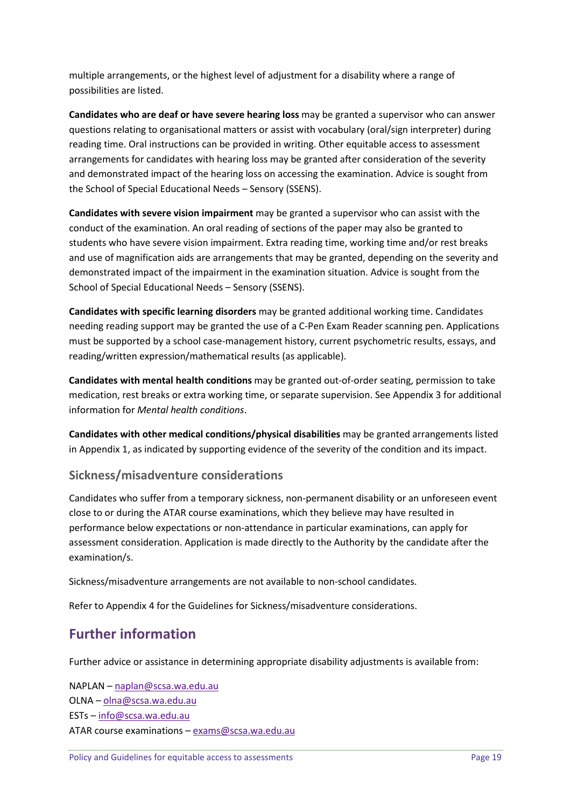multiple arrangements, or the highest level of adjustment for a disability where a range of possibilities are listed.

**Candidates who are deaf or have severe hearing loss** may be granted a supervisor who can answer questions relating to organisational matters or assist with vocabulary (oral/sign interpreter) during reading time. Oral instructions can be provided in writing. Other equitable access to assessment arrangements for candidates with hearing loss may be granted after consideration of the severity and demonstrated impact of the hearing loss on accessing the examination. Advice is sought from the School of Special Educational Needs – Sensory (SSENS).

**Candidates with severe vision impairment** may be granted a supervisor who can assist with the conduct of the examination. An oral reading of sections of the paper may also be granted to students who have severe vision impairment. Extra reading time, working time and/or rest breaks and use of magnification aids are arrangements that may be granted, depending on the severity and demonstrated impact of the impairment in the examination situation. Advice is sought from the School of Special Educational Needs – Sensory (SSENS).

**Candidates with specific learning disorders** may be granted additional working time. Candidates needing reading support may be granted the use of a C-Pen Exam Reader scanning pen. Applications must be supported by a school case-management history, current psychometric results, essays, and reading/written expression/mathematical results (as applicable).

**Candidates with mental health conditions** may be granted out-of-order seating, permission to take medication, rest breaks or extra working time, or separate supervision. See Appendix 3 for additional information for *Mental health conditions*.

**Candidates with other medical conditions/physical disabilities** may be granted arrangements listed in Appendix 1, as indicated by supporting evidence of the severity of the condition and its impact.

# **Sickness/misadventure considerations**

Candidates who suffer from a temporary sickness, non-permanent disability or an unforeseen event close to or during the ATAR course examinations, which they believe may have resulted in performance below expectations or non-attendance in particular examinations, can apply for assessment consideration. Application is made directly to the Authority by the candidate after the examination/s.

Sickness/misadventure arrangements are not available to non-school candidates.

Refer to Appendix 4 for the Guidelines for Sickness/misadventure considerations.

# **Further information**

Further advice or assistance in determining appropriate disability adjustments is available from:

NAPLAN – [naplan@scsa.wa.edu.au](mailto:naplan@scsa.wa.edu.au) OLNA – [olna@scsa.wa.edu.au](mailto:olna@scsa.wa.edu.au) ESTs – [info@scsa.wa.edu.au](mailto:info@scsa.wa.edu.au) ATAR course examinations – [exams@scsa.wa.edu.au](mailto:exams@scsa.wa.edu.au)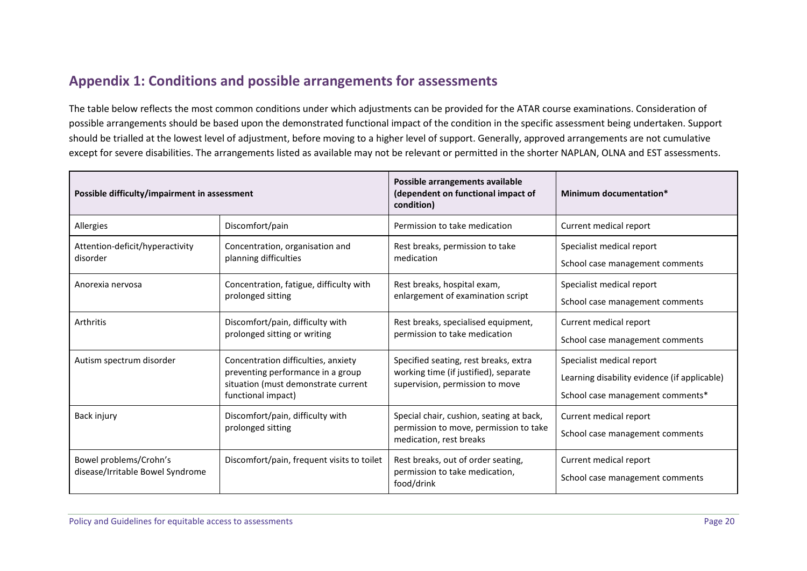# **Appendix 1: Conditions and possible arrangements for assessments**

The table below reflects the most common conditions under which adjustments can be provided for the ATAR course examinations. Consideration of possible arrangements should be based upon the demonstrated functional impact of the condition in the specific assessment being undertaken. Support should be trialled at the lowest level of adjustment, before moving to a higher level of support. Generally, approved arrangements are not cumulative except for severe disabilities. The arrangements listed as available may not be relevant or permitted in the shorter NAPLAN, OLNA and EST assessments.

| Possible difficulty/impairment in assessment |                                                                                                                 | Possible arrangements available<br>(dependent on functional impact of<br>condition)                               | Minimum documentation*                       |
|----------------------------------------------|-----------------------------------------------------------------------------------------------------------------|-------------------------------------------------------------------------------------------------------------------|----------------------------------------------|
| Allergies                                    | Discomfort/pain                                                                                                 | Permission to take medication                                                                                     | Current medical report                       |
| Attention-deficit/hyperactivity              | Concentration, organisation and                                                                                 | Rest breaks, permission to take                                                                                   | Specialist medical report                    |
| disorder                                     | planning difficulties                                                                                           | medication                                                                                                        | School case management comments              |
| Anorexia nervosa                             | Concentration, fatigue, difficulty with                                                                         | Rest breaks, hospital exam,                                                                                       | Specialist medical report                    |
|                                              | prolonged sitting                                                                                               | enlargement of examination script                                                                                 | School case management comments              |
| Arthritis                                    | Discomfort/pain, difficulty with                                                                                | Rest breaks, specialised equipment,                                                                               | Current medical report                       |
|                                              | prolonged sitting or writing<br>permission to take medication                                                   |                                                                                                                   | School case management comments              |
| Autism spectrum disorder                     | Concentration difficulties, anxiety<br>preventing performance in a group<br>situation (must demonstrate current | Specified seating, rest breaks, extra<br>working time (if justified), separate<br>supervision, permission to move | Specialist medical report                    |
|                                              |                                                                                                                 |                                                                                                                   | Learning disability evidence (if applicable) |
|                                              | functional impact)                                                                                              |                                                                                                                   | School case management comments*             |
| Back injury                                  | Discomfort/pain, difficulty with                                                                                | Special chair, cushion, seating at back,                                                                          | Current medical report                       |
|                                              | prolonged sitting                                                                                               | permission to move, permission to take<br>medication, rest breaks                                                 | School case management comments              |
| Bowel problems/Crohn's                       | Discomfort/pain, frequent visits to toilet                                                                      | Rest breaks, out of order seating,                                                                                | Current medical report                       |
| disease/Irritable Bowel Syndrome             |                                                                                                                 | permission to take medication,<br>food/drink                                                                      | School case management comments              |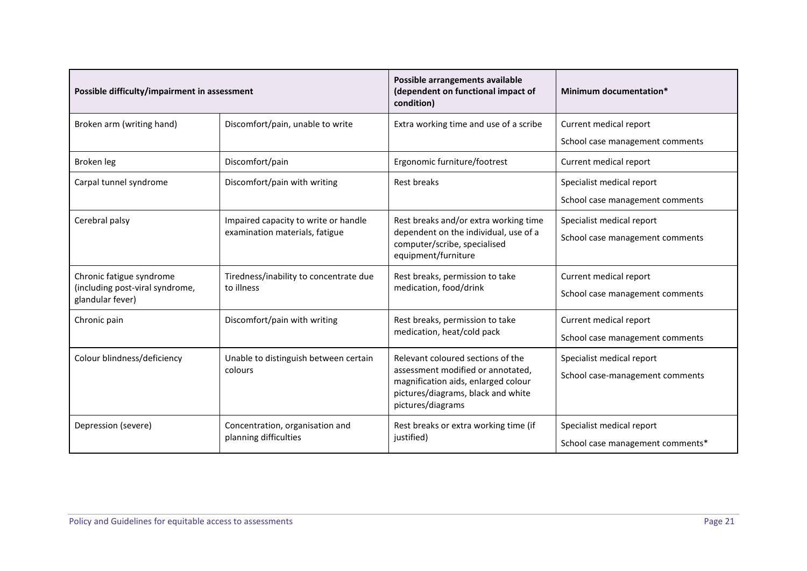| Possible difficulty/impairment in assessment                                    |                                                                        | Possible arrangements available<br>Minimum documentation*<br>(dependent on functional impact of<br>condition)                                                            |                                                               |
|---------------------------------------------------------------------------------|------------------------------------------------------------------------|--------------------------------------------------------------------------------------------------------------------------------------------------------------------------|---------------------------------------------------------------|
| Broken arm (writing hand)                                                       | Discomfort/pain, unable to write                                       | Extra working time and use of a scribe                                                                                                                                   | Current medical report<br>School case management comments     |
| Broken leg                                                                      | Discomfort/pain                                                        | Ergonomic furniture/footrest                                                                                                                                             | Current medical report                                        |
| Carpal tunnel syndrome                                                          | Discomfort/pain with writing                                           | Rest breaks                                                                                                                                                              | Specialist medical report<br>School case management comments  |
| Cerebral palsy                                                                  | Impaired capacity to write or handle<br>examination materials, fatigue | Rest breaks and/or extra working time<br>dependent on the individual, use of a<br>computer/scribe, specialised<br>equipment/furniture                                    | Specialist medical report<br>School case management comments  |
| Chronic fatigue syndrome<br>(including post-viral syndrome,<br>glandular fever) | Tiredness/inability to concentrate due<br>to illness                   | Rest breaks, permission to take<br>medication, food/drink                                                                                                                | Current medical report<br>School case management comments     |
| Chronic pain                                                                    | Discomfort/pain with writing                                           | Rest breaks, permission to take<br>medication, heat/cold pack                                                                                                            | Current medical report<br>School case management comments     |
| Colour blindness/deficiency                                                     | Unable to distinguish between certain<br>colours                       | Relevant coloured sections of the<br>assessment modified or annotated,<br>magnification aids, enlarged colour<br>pictures/diagrams, black and white<br>pictures/diagrams | Specialist medical report<br>School case-management comments  |
| Depression (severe)                                                             | Concentration, organisation and<br>planning difficulties               | Rest breaks or extra working time (if<br>justified)                                                                                                                      | Specialist medical report<br>School case management comments* |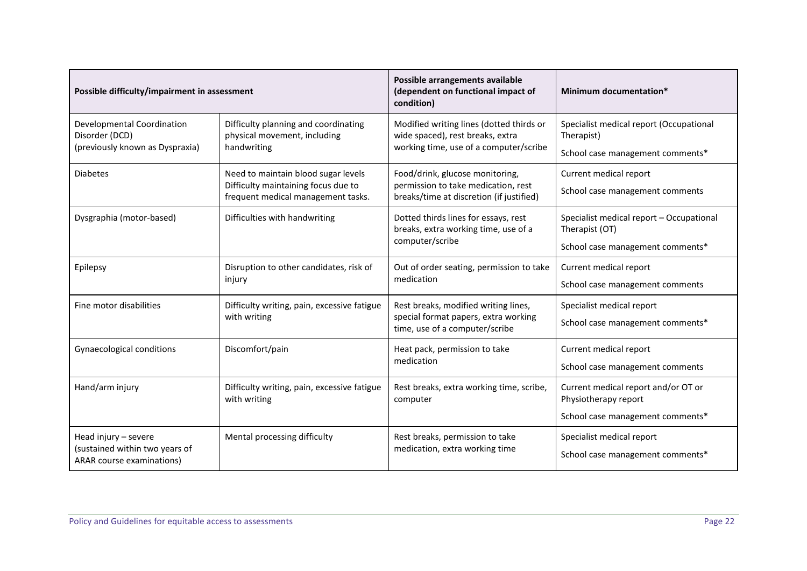| Possible difficulty/impairment in assessment                                        |                                                                                                                  | Possible arrangements available<br>(dependent on functional impact of<br>condition)                                    | Minimum documentation*                                                                          |
|-------------------------------------------------------------------------------------|------------------------------------------------------------------------------------------------------------------|------------------------------------------------------------------------------------------------------------------------|-------------------------------------------------------------------------------------------------|
| Developmental Coordination<br>Disorder (DCD)<br>(previously known as Dyspraxia)     | Difficulty planning and coordinating<br>physical movement, including<br>handwriting                              | Modified writing lines (dotted thirds or<br>wide spaced), rest breaks, extra<br>working time, use of a computer/scribe | Specialist medical report (Occupational<br>Therapist)<br>School case management comments*       |
| <b>Diabetes</b>                                                                     | Need to maintain blood sugar levels<br>Difficulty maintaining focus due to<br>frequent medical management tasks. | Food/drink, glucose monitoring,<br>permission to take medication, rest<br>breaks/time at discretion (if justified)     | Current medical report<br>School case management comments                                       |
| Dysgraphia (motor-based)                                                            | Difficulties with handwriting                                                                                    | Dotted thirds lines for essays, rest<br>breaks, extra working time, use of a<br>computer/scribe                        | Specialist medical report - Occupational<br>Therapist (OT)<br>School case management comments*  |
| Epilepsy                                                                            | Disruption to other candidates, risk of<br>injury                                                                | Out of order seating, permission to take<br>medication                                                                 | Current medical report<br>School case management comments                                       |
| Fine motor disabilities                                                             | Difficulty writing, pain, excessive fatigue<br>with writing                                                      | Rest breaks, modified writing lines,<br>special format papers, extra working<br>time, use of a computer/scribe         | Specialist medical report<br>School case management comments*                                   |
| Gynaecological conditions                                                           | Discomfort/pain                                                                                                  | Heat pack, permission to take<br>medication                                                                            | Current medical report<br>School case management comments                                       |
| Hand/arm injury                                                                     | Difficulty writing, pain, excessive fatigue<br>with writing                                                      | Rest breaks, extra working time, scribe,<br>computer                                                                   | Current medical report and/or OT or<br>Physiotherapy report<br>School case management comments* |
| Head injury - severe<br>(sustained within two years of<br>ARAR course examinations) | Mental processing difficulty                                                                                     | Rest breaks, permission to take<br>medication, extra working time                                                      | Specialist medical report<br>School case management comments*                                   |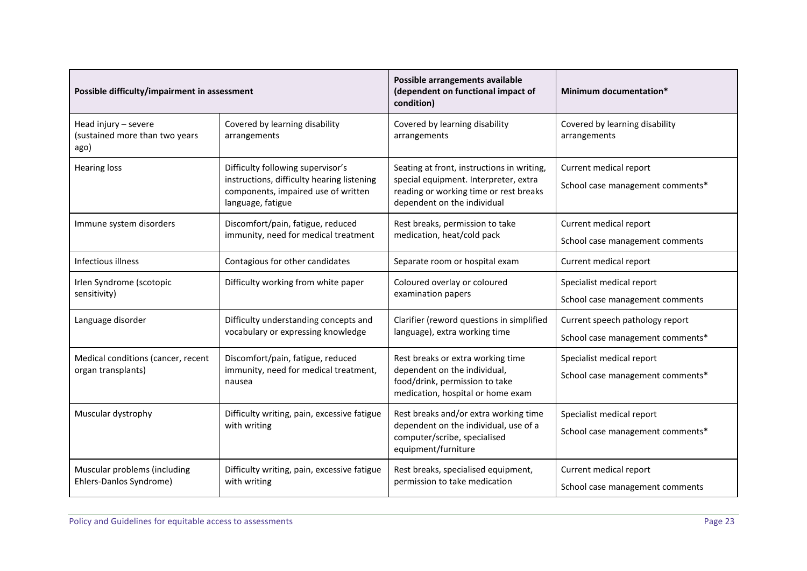| Possible difficulty/impairment in assessment                   |                                                                                                                                             | Possible arrangements available<br>(dependent on functional impact of<br>condition)                                                                          | Minimum documentation*                                              |
|----------------------------------------------------------------|---------------------------------------------------------------------------------------------------------------------------------------------|--------------------------------------------------------------------------------------------------------------------------------------------------------------|---------------------------------------------------------------------|
| Head injury - severe<br>(sustained more than two years<br>ago) | Covered by learning disability<br>arrangements                                                                                              | Covered by learning disability<br>arrangements                                                                                                               | Covered by learning disability<br>arrangements                      |
| <b>Hearing loss</b>                                            | Difficulty following supervisor's<br>instructions, difficulty hearing listening<br>components, impaired use of written<br>language, fatigue | Seating at front, instructions in writing,<br>special equipment. Interpreter, extra<br>reading or working time or rest breaks<br>dependent on the individual | Current medical report<br>School case management comments*          |
| Immune system disorders                                        | Discomfort/pain, fatigue, reduced<br>immunity, need for medical treatment                                                                   | Rest breaks, permission to take<br>medication, heat/cold pack                                                                                                | Current medical report<br>School case management comments           |
| Infectious illness                                             | Contagious for other candidates                                                                                                             | Separate room or hospital exam                                                                                                                               | Current medical report                                              |
| Irlen Syndrome (scotopic<br>sensitivity)                       | Difficulty working from white paper                                                                                                         | Coloured overlay or coloured<br>examination papers                                                                                                           | Specialist medical report<br>School case management comments        |
| Language disorder                                              | Difficulty understanding concepts and<br>vocabulary or expressing knowledge                                                                 | Clarifier (reword questions in simplified<br>language), extra working time                                                                                   | Current speech pathology report<br>School case management comments* |
| Medical conditions (cancer, recent<br>organ transplants)       | Discomfort/pain, fatigue, reduced<br>immunity, need for medical treatment,<br>nausea                                                        | Rest breaks or extra working time<br>dependent on the individual,<br>food/drink, permission to take<br>medication, hospital or home exam                     | Specialist medical report<br>School case management comments*       |
| Muscular dystrophy                                             | Difficulty writing, pain, excessive fatigue<br>with writing                                                                                 | Rest breaks and/or extra working time<br>dependent on the individual, use of a<br>computer/scribe, specialised<br>equipment/furniture                        | Specialist medical report<br>School case management comments*       |
| Muscular problems (including<br>Ehlers-Danlos Syndrome)        | Difficulty writing, pain, excessive fatigue<br>with writing                                                                                 | Rest breaks, specialised equipment,<br>permission to take medication                                                                                         | Current medical report<br>School case management comments           |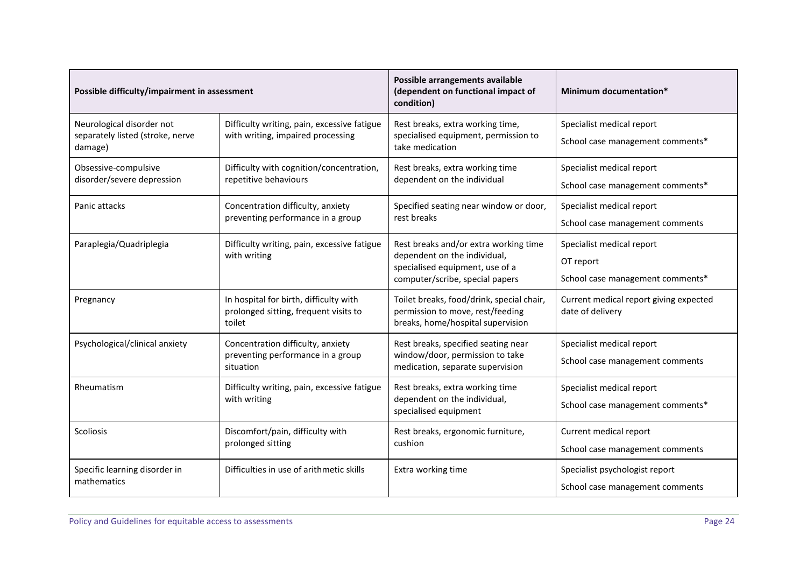| Possible difficulty/impairment in assessment |                                                                                           | Possible arrangements available<br>(dependent on functional impact of<br>condition)                                | Minimum documentation*                                     |  |
|----------------------------------------------|-------------------------------------------------------------------------------------------|--------------------------------------------------------------------------------------------------------------------|------------------------------------------------------------|--|
| Neurological disorder not                    | Difficulty writing, pain, excessive fatigue                                               | Rest breaks, extra working time,                                                                                   | Specialist medical report                                  |  |
| separately listed (stroke, nerve<br>damage)  | with writing, impaired processing                                                         | specialised equipment, permission to<br>take medication                                                            | School case management comments*                           |  |
| Obsessive-compulsive                         | Difficulty with cognition/concentration,                                                  | Rest breaks, extra working time                                                                                    | Specialist medical report                                  |  |
| disorder/severe depression                   | repetitive behaviours                                                                     | dependent on the individual                                                                                        | School case management comments*                           |  |
| Panic attacks                                | Concentration difficulty, anxiety                                                         | Specified seating near window or door,                                                                             | Specialist medical report                                  |  |
|                                              | preventing performance in a group                                                         | rest breaks                                                                                                        | School case management comments                            |  |
| Paraplegia/Quadriplegia                      | Difficulty writing, pain, excessive fatigue                                               | Rest breaks and/or extra working time                                                                              | Specialist medical report                                  |  |
|                                              | with writing                                                                              | dependent on the individual,<br>specialised equipment, use of a                                                    | OT report                                                  |  |
|                                              |                                                                                           | computer/scribe, special papers                                                                                    | School case management comments*                           |  |
| Pregnancy                                    | In hospital for birth, difficulty with<br>prolonged sitting, frequent visits to<br>toilet | Toilet breaks, food/drink, special chair,<br>permission to move, rest/feeding<br>breaks, home/hospital supervision | Current medical report giving expected<br>date of delivery |  |
| Psychological/clinical anxiety               | Concentration difficulty, anxiety                                                         | Rest breaks, specified seating near                                                                                | Specialist medical report                                  |  |
|                                              | preventing performance in a group<br>situation                                            | window/door, permission to take<br>medication, separate supervision                                                | School case management comments                            |  |
| Rheumatism                                   | Difficulty writing, pain, excessive fatigue                                               | Rest breaks, extra working time                                                                                    | Specialist medical report                                  |  |
| with writing                                 |                                                                                           | dependent on the individual,<br>specialised equipment                                                              | School case management comments*                           |  |
| Scoliosis                                    | Discomfort/pain, difficulty with                                                          | Rest breaks, ergonomic furniture,                                                                                  | Current medical report                                     |  |
|                                              | prolonged sitting                                                                         | cushion                                                                                                            | School case management comments                            |  |
| Specific learning disorder in                | Difficulties in use of arithmetic skills                                                  | Extra working time                                                                                                 | Specialist psychologist report                             |  |
| mathematics                                  |                                                                                           |                                                                                                                    | School case management comments                            |  |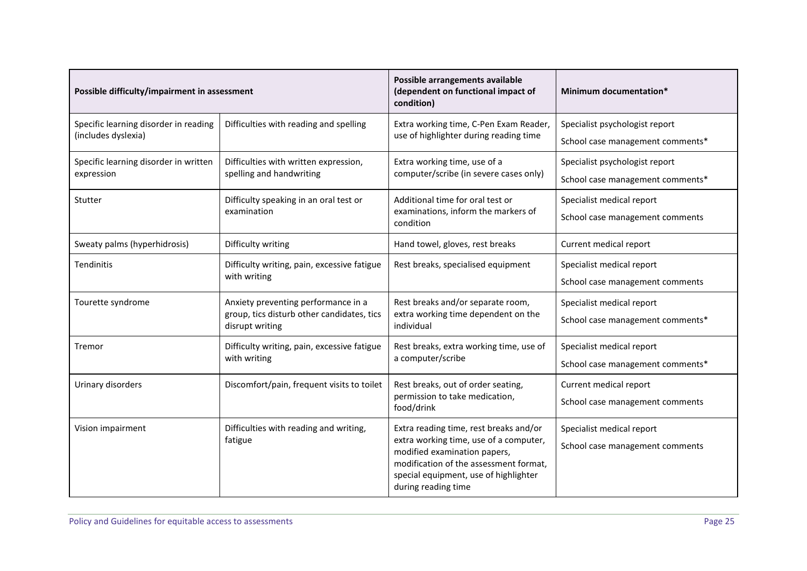| Possible difficulty/impairment in assessment |                                                               | Possible arrangements available<br>(dependent on functional impact of<br>condition)                                                                                              | Minimum documentation*           |
|----------------------------------------------|---------------------------------------------------------------|----------------------------------------------------------------------------------------------------------------------------------------------------------------------------------|----------------------------------|
| Specific learning disorder in reading        | Difficulties with reading and spelling                        | Extra working time, C-Pen Exam Reader,                                                                                                                                           | Specialist psychologist report   |
| (includes dyslexia)                          |                                                               | use of highlighter during reading time                                                                                                                                           | School case management comments* |
| Specific learning disorder in written        | Difficulties with written expression,                         | Extra working time, use of a                                                                                                                                                     | Specialist psychologist report   |
| expression                                   | spelling and handwriting                                      | computer/scribe (in severe cases only)                                                                                                                                           | School case management comments* |
| Stutter                                      | Difficulty speaking in an oral test or                        | Additional time for oral test or                                                                                                                                                 | Specialist medical report        |
|                                              | examination                                                   | examinations, inform the markers of<br>condition                                                                                                                                 | School case management comments  |
| Sweaty palms (hyperhidrosis)                 | Difficulty writing                                            | Hand towel, gloves, rest breaks                                                                                                                                                  | Current medical report           |
| <b>Tendinitis</b>                            | Difficulty writing, pain, excessive fatigue                   | Rest breaks, specialised equipment                                                                                                                                               | Specialist medical report        |
|                                              | with writing                                                  |                                                                                                                                                                                  | School case management comments  |
| Tourette syndrome                            | Anxiety preventing performance in a                           | Rest breaks and/or separate room,                                                                                                                                                | Specialist medical report        |
|                                              | group, tics disturb other candidates, tics<br>disrupt writing | extra working time dependent on the<br>individual                                                                                                                                | School case management comments* |
| Tremor                                       | Difficulty writing, pain, excessive fatigue                   | Rest breaks, extra working time, use of                                                                                                                                          | Specialist medical report        |
|                                              | with writing                                                  | a computer/scribe                                                                                                                                                                | School case management comments* |
| Urinary disorders                            | Discomfort/pain, frequent visits to toilet                    | Rest breaks, out of order seating,                                                                                                                                               | Current medical report           |
|                                              |                                                               | permission to take medication,<br>food/drink                                                                                                                                     | School case management comments  |
| Vision impairment                            | Difficulties with reading and writing,                        | Extra reading time, rest breaks and/or                                                                                                                                           | Specialist medical report        |
|                                              | fatigue                                                       | extra working time, use of a computer,<br>modified examination papers,<br>modification of the assessment format,<br>special equipment, use of highlighter<br>during reading time | School case management comments  |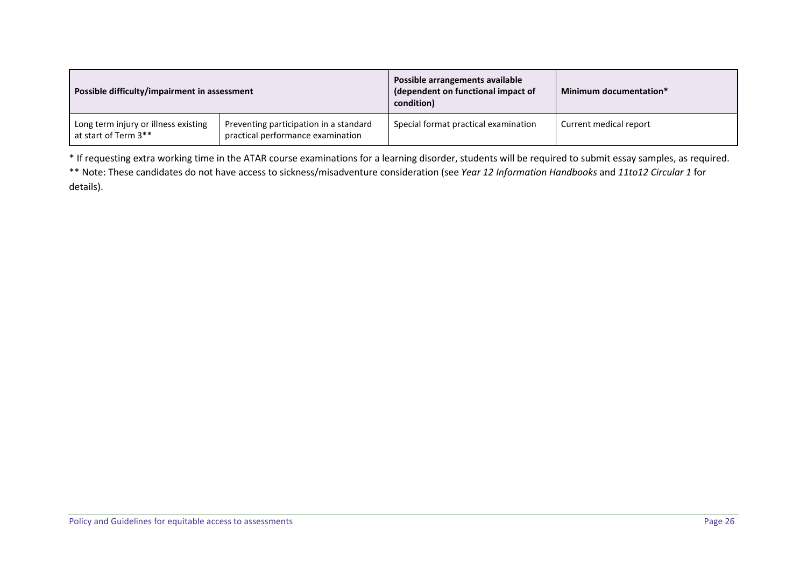| Possible difficulty/impairment in assessment                 |                                                                             | Possible arrangements available<br>(dependent on functional impact of<br>condition) | Minimum documentation* |
|--------------------------------------------------------------|-----------------------------------------------------------------------------|-------------------------------------------------------------------------------------|------------------------|
| Long term injury or illness existing<br>at start of Term 3** | Preventing participation in a standard<br>practical performance examination | Special format practical examination                                                | Current medical report |

\* If requesting extra working time in the ATAR course examinations for a learning disorder, students will be required to submit essay samples, as required. \*\* Note: These candidates do not have access to sickness/misadventure consideration (see *Year 12 Information Handbooks* and *11to12 Circular 1* for details).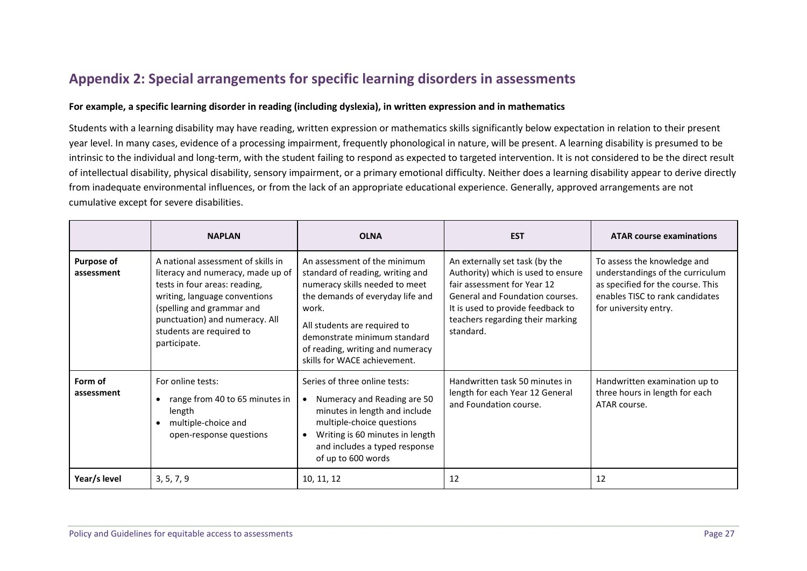# **Appendix 2: Special arrangements for specific learning disorders in assessments**

#### **For example, a specific learning disorder in reading (including dyslexia), in written expression and in mathematics**

Students with a learning disability may have reading, written expression or mathematics skills significantly below expectation in relation to their present year level. In many cases, evidence of a processing impairment, frequently phonological in nature, will be present. A learning disability is presumed to be intrinsic to the individual and long-term, with the student failing to respond as expected to targeted intervention. It is not considered to be the direct result of intellectual disability, physical disability, sensory impairment, or a primary emotional difficulty. Neither does a learning disability appear to derive directly from inadequate environmental influences, or from the lack of an appropriate educational experience. Generally, approved arrangements are not cumulative except for severe disabilities.

|                                 | <b>NAPLAN</b>                                                                                                                                                                                                                                        | <b>OLNA</b>                                                                                                                                                                                                                                                                         | <b>EST</b>                                                                                                                                                                                                                   | <b>ATAR course examinations</b>                                                                                                                                  |
|---------------------------------|------------------------------------------------------------------------------------------------------------------------------------------------------------------------------------------------------------------------------------------------------|-------------------------------------------------------------------------------------------------------------------------------------------------------------------------------------------------------------------------------------------------------------------------------------|------------------------------------------------------------------------------------------------------------------------------------------------------------------------------------------------------------------------------|------------------------------------------------------------------------------------------------------------------------------------------------------------------|
| <b>Purpose of</b><br>assessment | A national assessment of skills in<br>literacy and numeracy, made up of<br>tests in four areas: reading,<br>writing, language conventions<br>(spelling and grammar and<br>punctuation) and numeracy. All<br>students are required to<br>participate. | An assessment of the minimum<br>standard of reading, writing and<br>numeracy skills needed to meet<br>the demands of everyday life and<br>work.<br>All students are required to<br>demonstrate minimum standard<br>of reading, writing and numeracy<br>skills for WACE achievement. | An externally set task (by the<br>Authority) which is used to ensure<br>fair assessment for Year 12<br>General and Foundation courses.<br>It is used to provide feedback to<br>teachers regarding their marking<br>standard. | To assess the knowledge and<br>understandings of the curriculum<br>as specified for the course. This<br>enables TISC to rank candidates<br>for university entry. |
| Form of<br>assessment           | For online tests:<br>range from 40 to 65 minutes in<br>length<br>multiple-choice and<br>open-response questions                                                                                                                                      | Series of three online tests:<br>Numeracy and Reading are 50<br>$\bullet$<br>minutes in length and include<br>multiple-choice questions<br>Writing is 60 minutes in length<br>$\bullet$<br>and includes a typed response<br>of up to 600 words                                      | Handwritten task 50 minutes in<br>length for each Year 12 General<br>and Foundation course.                                                                                                                                  | Handwritten examination up to<br>three hours in length for each<br>ATAR course.                                                                                  |
| Year/s level                    | 3, 5, 7, 9                                                                                                                                                                                                                                           | 10, 11, 12                                                                                                                                                                                                                                                                          | 12                                                                                                                                                                                                                           | 12                                                                                                                                                               |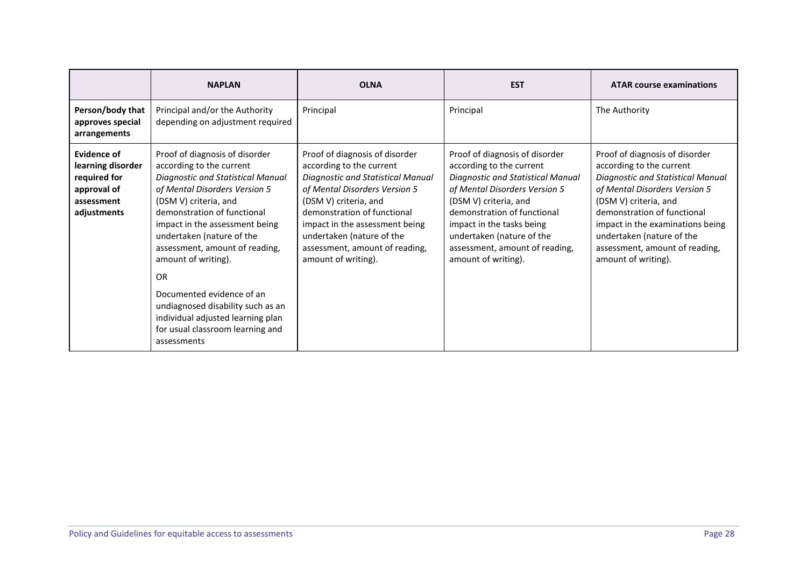|                                                                                              | <b>NAPLAN</b>                                                                                                                                                                                                                                                                                                                                                                                                                                                                    | <b>OLNA</b>                                                                                                                                                                                                                                                                                                             | <b>EST</b>                                                                                                                                                                                                                                                                                                  | <b>ATAR course examinations</b>                                                                                                                                                                                                                                                                                    |
|----------------------------------------------------------------------------------------------|----------------------------------------------------------------------------------------------------------------------------------------------------------------------------------------------------------------------------------------------------------------------------------------------------------------------------------------------------------------------------------------------------------------------------------------------------------------------------------|-------------------------------------------------------------------------------------------------------------------------------------------------------------------------------------------------------------------------------------------------------------------------------------------------------------------------|-------------------------------------------------------------------------------------------------------------------------------------------------------------------------------------------------------------------------------------------------------------------------------------------------------------|--------------------------------------------------------------------------------------------------------------------------------------------------------------------------------------------------------------------------------------------------------------------------------------------------------------------|
| Person/body that<br>approves special<br>arrangements                                         | Principal and/or the Authority<br>depending on adjustment required                                                                                                                                                                                                                                                                                                                                                                                                               | Principal                                                                                                                                                                                                                                                                                                               | Principal                                                                                                                                                                                                                                                                                                   | The Authority                                                                                                                                                                                                                                                                                                      |
| Evidence of<br>learning disorder<br>required for<br>approval of<br>assessment<br>adjustments | Proof of diagnosis of disorder<br>according to the current<br>Diagnostic and Statistical Manual<br>of Mental Disorders Version 5<br>(DSM V) criteria, and<br>demonstration of functional<br>impact in the assessment being<br>undertaken (nature of the<br>assessment, amount of reading,<br>amount of writing).<br>OR<br>Documented evidence of an<br>undiagnosed disability such as an<br>individual adjusted learning plan<br>for usual classroom learning and<br>assessments | Proof of diagnosis of disorder<br>according to the current<br><b>Diagnostic and Statistical Manual</b><br>of Mental Disorders Version 5<br>(DSM V) criteria, and<br>demonstration of functional<br>impact in the assessment being<br>undertaken (nature of the<br>assessment, amount of reading,<br>amount of writing). | Proof of diagnosis of disorder<br>according to the current<br>Diagnostic and Statistical Manual<br>of Mental Disorders Version 5<br>(DSM V) criteria, and<br>demonstration of functional<br>impact in the tasks being<br>undertaken (nature of the<br>assessment, amount of reading,<br>amount of writing). | Proof of diagnosis of disorder<br>according to the current<br>Diagnostic and Statistical Manual<br>of Mental Disorders Version 5<br>(DSM V) criteria, and<br>demonstration of functional<br>impact in the examinations being<br>undertaken (nature of the<br>assessment, amount of reading,<br>amount of writing). |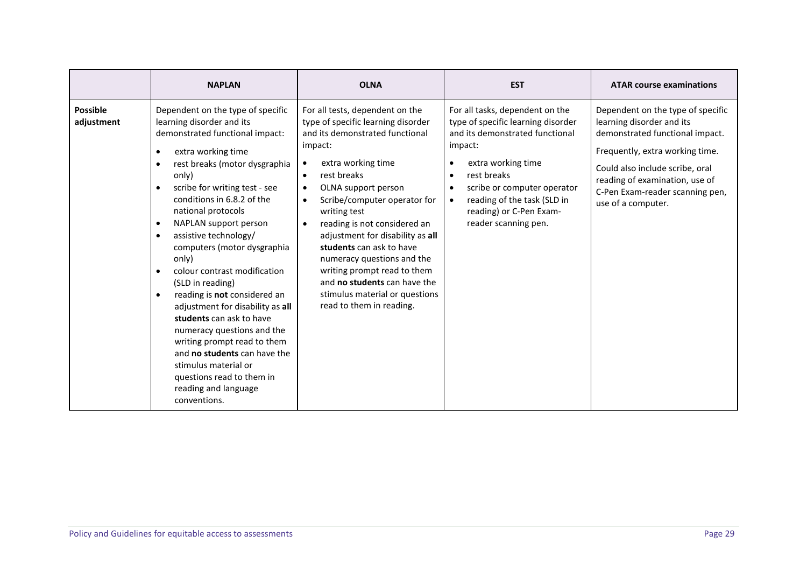|                               | <b>NAPLAN</b>                                                                                                                                                                                                                                                                                                                                                                                                                                                                                                                                                                                                                                                                                                                                                   | <b>OLNA</b>                                                                                                                                                                                                                                                                                                                                                                                                                                                                                                                                                 | <b>EST</b>                                                                                                                                                                                                                                                                | <b>ATAR course examinations</b>                                                                                                                                                                                                                                    |
|-------------------------------|-----------------------------------------------------------------------------------------------------------------------------------------------------------------------------------------------------------------------------------------------------------------------------------------------------------------------------------------------------------------------------------------------------------------------------------------------------------------------------------------------------------------------------------------------------------------------------------------------------------------------------------------------------------------------------------------------------------------------------------------------------------------|-------------------------------------------------------------------------------------------------------------------------------------------------------------------------------------------------------------------------------------------------------------------------------------------------------------------------------------------------------------------------------------------------------------------------------------------------------------------------------------------------------------------------------------------------------------|---------------------------------------------------------------------------------------------------------------------------------------------------------------------------------------------------------------------------------------------------------------------------|--------------------------------------------------------------------------------------------------------------------------------------------------------------------------------------------------------------------------------------------------------------------|
| <b>Possible</b><br>adjustment | Dependent on the type of specific<br>learning disorder and its<br>demonstrated functional impact:<br>extra working time<br>rest breaks (motor dysgraphia<br>$\bullet$<br>only)<br>scribe for writing test - see<br>$\bullet$<br>conditions in 6.8.2 of the<br>national protocols<br>NAPLAN support person<br>$\bullet$<br>assistive technology/<br>$\bullet$<br>computers (motor dysgraphia<br>only)<br>colour contrast modification<br>(SLD in reading)<br>reading is not considered an<br>$\bullet$<br>adjustment for disability as all<br>students can ask to have<br>numeracy questions and the<br>writing prompt read to them<br>and no students can have the<br>stimulus material or<br>questions read to them in<br>reading and language<br>conventions. | For all tests, dependent on the<br>type of specific learning disorder<br>and its demonstrated functional<br>impact:<br>extra working time<br>$\bullet$<br>rest breaks<br>$\bullet$<br>OLNA support person<br>$\bullet$<br>Scribe/computer operator for<br>$\bullet$<br>writing test<br>reading is not considered an<br>$\bullet$<br>adjustment for disability as all<br>students can ask to have<br>numeracy questions and the<br>writing prompt read to them<br>and no students can have the<br>stimulus material or questions<br>read to them in reading. | For all tasks, dependent on the<br>type of specific learning disorder<br>and its demonstrated functional<br>impact:<br>extra working time<br>rest breaks<br>scribe or computer operator<br>reading of the task (SLD in<br>reading) or C-Pen Exam-<br>reader scanning pen. | Dependent on the type of specific<br>learning disorder and its<br>demonstrated functional impact.<br>Frequently, extra working time.<br>Could also include scribe, oral<br>reading of examination, use of<br>C-Pen Exam-reader scanning pen,<br>use of a computer. |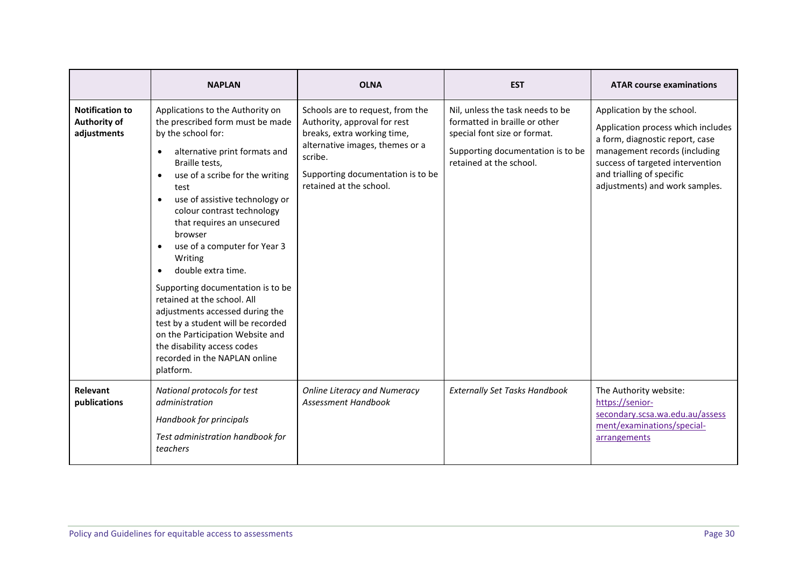|                                                       | <b>NAPLAN</b>                                                                                                                                                                                                                                                                                                                                                                                                                                                                                                                                                                                                                                                                        | <b>OLNA</b>                                                                                                                                                                                                   | <b>EST</b>                                                                                                                                                        | <b>ATAR course examinations</b>                                                                                                                                                                                                         |
|-------------------------------------------------------|--------------------------------------------------------------------------------------------------------------------------------------------------------------------------------------------------------------------------------------------------------------------------------------------------------------------------------------------------------------------------------------------------------------------------------------------------------------------------------------------------------------------------------------------------------------------------------------------------------------------------------------------------------------------------------------|---------------------------------------------------------------------------------------------------------------------------------------------------------------------------------------------------------------|-------------------------------------------------------------------------------------------------------------------------------------------------------------------|-----------------------------------------------------------------------------------------------------------------------------------------------------------------------------------------------------------------------------------------|
| <b>Notification to</b><br>Authority of<br>adjustments | Applications to the Authority on<br>the prescribed form must be made<br>by the school for:<br>alternative print formats and<br>$\bullet$<br>Braille tests,<br>use of a scribe for the writing<br>$\bullet$<br>test<br>use of assistive technology or<br>$\bullet$<br>colour contrast technology<br>that requires an unsecured<br>browser<br>use of a computer for Year 3<br>$\bullet$<br>Writing<br>double extra time.<br>Supporting documentation is to be<br>retained at the school. All<br>adjustments accessed during the<br>test by a student will be recorded<br>on the Participation Website and<br>the disability access codes<br>recorded in the NAPLAN online<br>platform. | Schools are to request, from the<br>Authority, approval for rest<br>breaks, extra working time,<br>alternative images, themes or a<br>scribe.<br>Supporting documentation is to be<br>retained at the school. | Nil, unless the task needs to be<br>formatted in braille or other<br>special font size or format.<br>Supporting documentation is to be<br>retained at the school. | Application by the school.<br>Application process which includes<br>a form, diagnostic report, case<br>management records (including<br>success of targeted intervention<br>and trialling of specific<br>adjustments) and work samples. |
| Relevant<br>publications                              | National protocols for test<br>administration<br>Handbook for principals<br>Test administration handbook for<br>teachers                                                                                                                                                                                                                                                                                                                                                                                                                                                                                                                                                             | <b>Online Literacy and Numeracy</b><br>Assessment Handbook                                                                                                                                                    | <b>Externally Set Tasks Handbook</b>                                                                                                                              | The Authority website:<br>https://senior-<br>secondary.scsa.wa.edu.au/assess<br>ment/examinations/special-<br>arrangements                                                                                                              |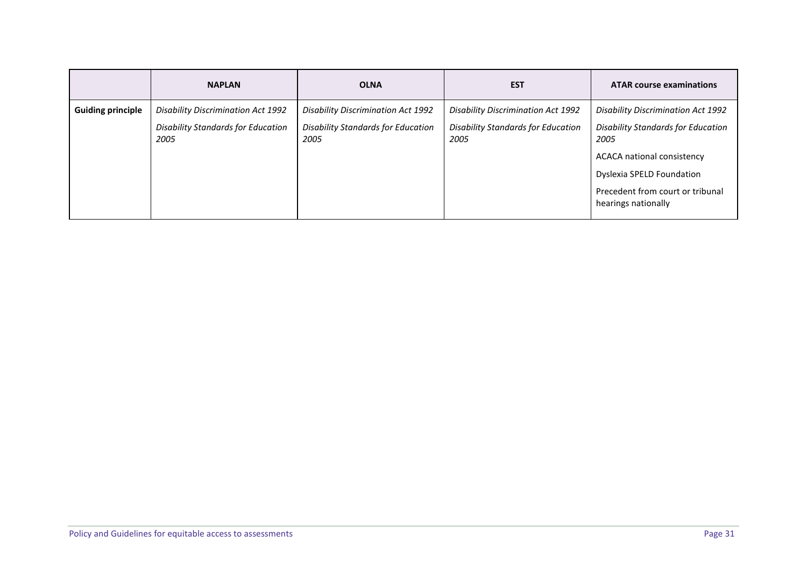|                          | <b>NAPLAN</b>                                     | <b>OLNA</b>                                       | <b>EST</b>                                        | <b>ATAR course examinations</b>                         |
|--------------------------|---------------------------------------------------|---------------------------------------------------|---------------------------------------------------|---------------------------------------------------------|
| <b>Guiding principle</b> | Disability Discrimination Act 1992                | <b>Disability Discrimination Act 1992</b>         | Disability Discrimination Act 1992                | <b>Disability Discrimination Act 1992</b>               |
|                          | <b>Disability Standards for Education</b><br>2005 | <b>Disability Standards for Education</b><br>2005 | <b>Disability Standards for Education</b><br>2005 | <b>Disability Standards for Education</b><br>2005       |
|                          |                                                   |                                                   |                                                   | <b>ACACA national consistency</b>                       |
|                          |                                                   |                                                   |                                                   | Dyslexia SPELD Foundation                               |
|                          |                                                   |                                                   |                                                   | Precedent from court or tribunal<br>hearings nationally |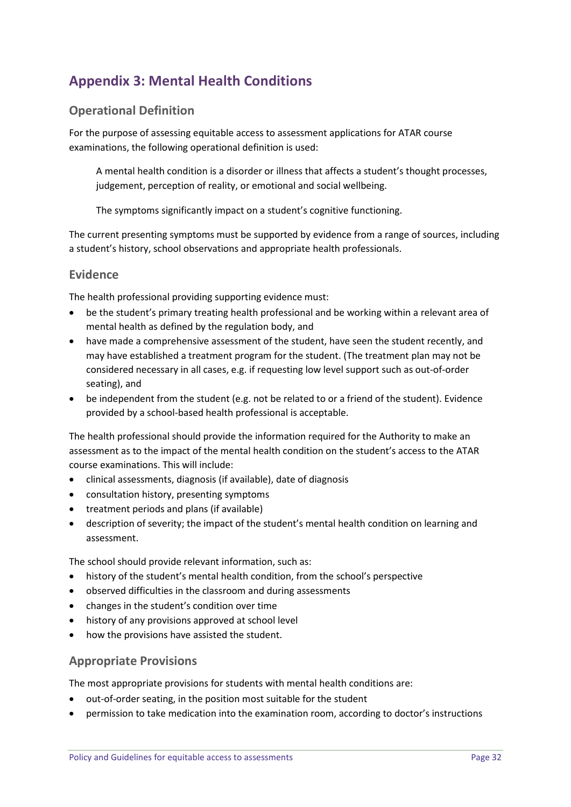# **Appendix 3: Mental Health Conditions**

### **Operational Definition**

For the purpose of assessing equitable access to assessment applications for ATAR course examinations, the following operational definition is used:

A mental health condition is a disorder or illness that affects a student's thought processes, judgement, perception of reality, or emotional and social wellbeing.

The symptoms significantly impact on a student's cognitive functioning.

The current presenting symptoms must be supported by evidence from a range of sources, including a student's history, school observations and appropriate health professionals.

### **Evidence**

The health professional providing supporting evidence must:

- be the student's primary treating health professional and be working within a relevant area of mental health as defined by the regulation body, and
- have made a comprehensive assessment of the student, have seen the student recently, and may have established a treatment program for the student. (The treatment plan may not be considered necessary in all cases, e.g. if requesting low level support such as out-of-order seating), and
- be independent from the student (e.g. not be related to or a friend of the student). Evidence provided by a school-based health professional is acceptable.

The health professional should provide the information required for the Authority to make an assessment as to the impact of the mental health condition on the student's access to the ATAR course examinations. This will include:

- clinical assessments, diagnosis (if available), date of diagnosis
- consultation history, presenting symptoms
- treatment periods and plans (if available)
- description of severity; the impact of the student's mental health condition on learning and assessment.

The school should provide relevant information, such as:

- history of the student's mental health condition, from the school's perspective
- observed difficulties in the classroom and during assessments
- changes in the student's condition over time
- history of any provisions approved at school level
- how the provisions have assisted the student.

### **Appropriate Provisions**

The most appropriate provisions for students with mental health conditions are:

- out-of-order seating, in the position most suitable for the student
- permission to take medication into the examination room, according to doctor's instructions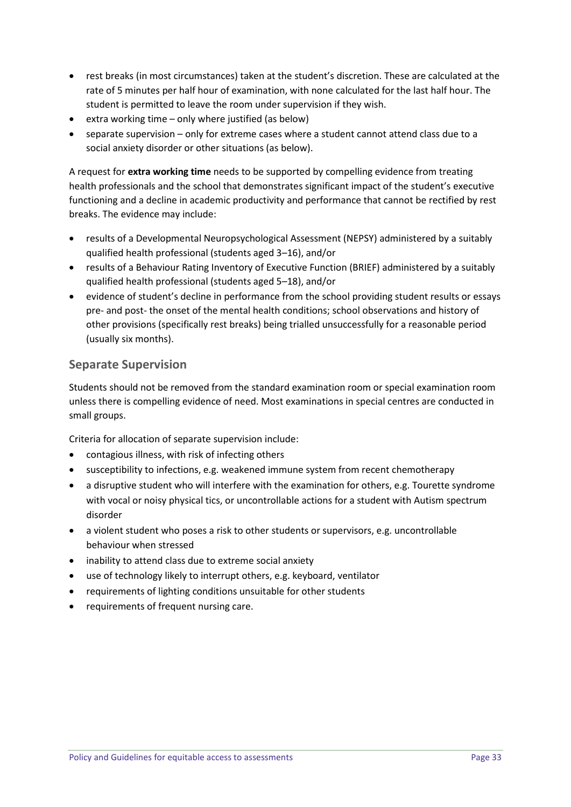- rest breaks (in most circumstances) taken at the student's discretion. These are calculated at the rate of 5 minutes per half hour of examination, with none calculated for the last half hour. The student is permitted to leave the room under supervision if they wish.
- extra working time only where justified (as below)
- separate supervision only for extreme cases where a student cannot attend class due to a social anxiety disorder or other situations (as below).

A request for **extra working time** needs to be supported by compelling evidence from treating health professionals and the school that demonstrates significant impact of the student's executive functioning and a decline in academic productivity and performance that cannot be rectified by rest breaks. The evidence may include:

- results of a Developmental Neuropsychological Assessment (NEPSY) administered by a suitably qualified health professional (students aged 3–16), and/or
- results of a Behaviour Rating Inventory of Executive Function (BRIEF) administered by a suitably qualified health professional (students aged 5–18), and/or
- evidence of student's decline in performance from the school providing student results or essays pre- and post- the onset of the mental health conditions; school observations and history of other provisions (specifically rest breaks) being trialled unsuccessfully for a reasonable period (usually six months).

# **Separate Supervision**

Students should not be removed from the standard examination room or special examination room unless there is compelling evidence of need. Most examinations in special centres are conducted in small groups.

Criteria for allocation of separate supervision include:

- contagious illness, with risk of infecting others
- susceptibility to infections, e.g. weakened immune system from recent chemotherapy
- a disruptive student who will interfere with the examination for others, e.g. Tourette syndrome with vocal or noisy physical tics, or uncontrollable actions for a student with Autism spectrum disorder
- a violent student who poses a risk to other students or supervisors, e.g. uncontrollable behaviour when stressed
- inability to attend class due to extreme social anxiety
- use of technology likely to interrupt others, e.g. keyboard, ventilator
- requirements of lighting conditions unsuitable for other students
- requirements of frequent nursing care.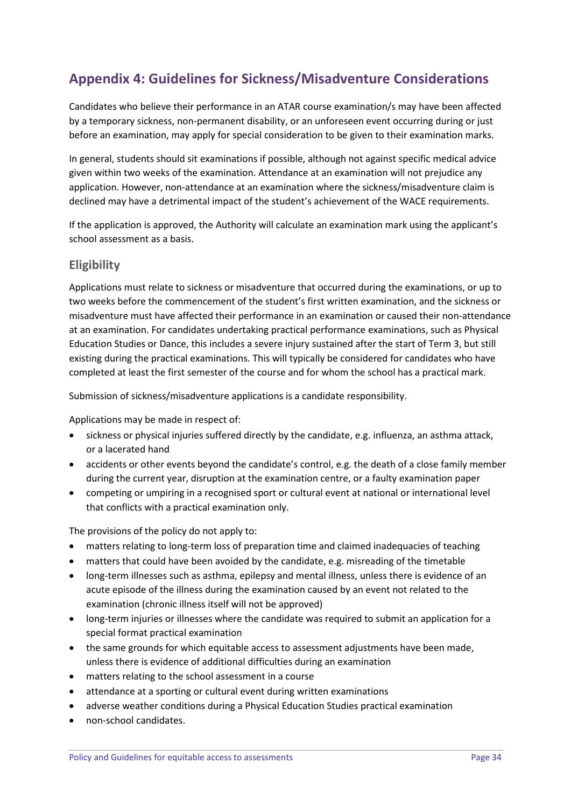# **Appendix 4: Guidelines for Sickness/Misadventure Considerations**

Candidates who believe their performance in an ATAR course examination/s may have been affected by a temporary sickness, non-permanent disability, or an unforeseen event occurring during or just before an examination, may apply for special consideration to be given to their examination marks.

In general, students should sit examinations if possible, although not against specific medical advice given within two weeks of the examination. Attendance at an examination will not prejudice any application. However, non-attendance at an examination where the sickness/misadventure claim is declined may have a detrimental impact of the student's achievement of the WACE requirements.

If the application is approved, the Authority will calculate an examination mark using the applicant's school assessment as a basis.

### **Eligibility**

Applications must relate to sickness or misadventure that occurred during the examinations, or up to two weeks before the commencement of the student's first written examination, and the sickness or misadventure must have affected their performance in an examination or caused their non-attendance at an examination. For candidates undertaking practical performance examinations, such as Physical Education Studies or Dance, this includes a severe injury sustained after the start of Term 3, but still existing during the practical examinations. This will typically be considered for candidates who have completed at least the first semester of the course and for whom the school has a practical mark.

Submission of sickness/misadventure applications is a candidate responsibility.

Applications may be made in respect of:

- sickness or physical injuries suffered directly by the candidate, e.g. influenza, an asthma attack, or a lacerated hand
- accidents or other events beyond the candidate's control, e.g. the death of a close family member during the current year, disruption at the examination centre, or a faulty examination paper
- competing or umpiring in a recognised sport or cultural event at national or international level that conflicts with a practical examination only.

The provisions of the policy do not apply to:

- matters relating to long-term loss of preparation time and claimed inadequacies of teaching
- matters that could have been avoided by the candidate, e.g. misreading of the timetable
- long-term illnesses such as asthma, epilepsy and mental illness, unless there is evidence of an acute episode of the illness during the examination caused by an event not related to the examination (chronic illness itself will not be approved)
- long-term injuries or illnesses where the candidate was required to submit an application for a special format practical examination
- the same grounds for which equitable access to assessment adjustments have been made, unless there is evidence of additional difficulties during an examination
- matters relating to the school assessment in a course
- attendance at a sporting or cultural event during written examinations
- adverse weather conditions during a Physical Education Studies practical examination
- non-school candidates.